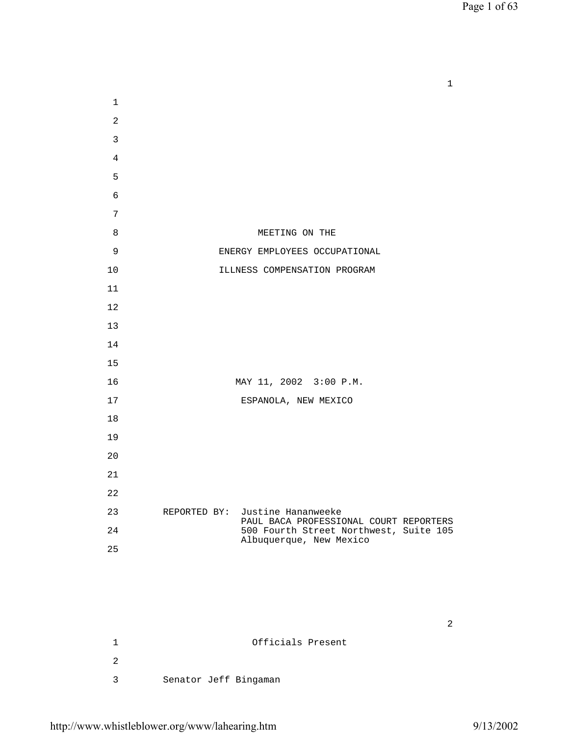Page 1 of 63

 $1$ 

| $\mathbf 1$    |                                                                           |
|----------------|---------------------------------------------------------------------------|
| $\overline{a}$ |                                                                           |
| 3              |                                                                           |
| 4              |                                                                           |
| 5              |                                                                           |
| $\epsilon$     |                                                                           |
| 7              |                                                                           |
| 8              | MEETING ON THE                                                            |
| 9              | ENERGY EMPLOYEES OCCUPATIONAL                                             |
| 10             | ILLNESS COMPENSATION PROGRAM                                              |
| 11             |                                                                           |
| 12             |                                                                           |
| 13             |                                                                           |
| 14             |                                                                           |
| 15             |                                                                           |
| 16             | MAY 11, 2002 3:00 P.M.                                                    |
| 17             | ESPANOLA, NEW MEXICO                                                      |
| 18             |                                                                           |
| 19             |                                                                           |
| 20             |                                                                           |
| 21             |                                                                           |
| 22             |                                                                           |
| 23             | REPORTED BY: Justine Hananweeke<br>PAUL BACA PROFESSIONAL COURT REPORTERS |
| 24             | 500 Fourth Street Northwest, Suite 105<br>Albuquerque, New Mexico         |
| 25             |                                                                           |
|                |                                                                           |

| Officials Present     |
|-----------------------|
|                       |
| Senator Jeff Bingaman |

 $2\frac{1}{2}$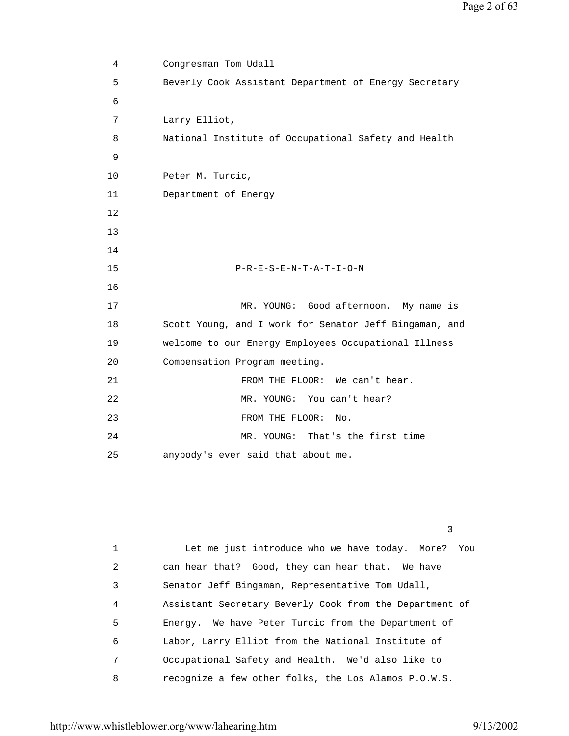4 Congresman Tom Udall 5 Beverly Cook Assistant Department of Energy Secretary 6 7 Larry Elliot, 8 National Institute of Occupational Safety and Health 9 10 Peter M. Turcic, 11 Department of Energy 12 13 14 15 P-R-E-S-E-N-T-A-T-I-O-N 16 17 MR. YOUNG: Good afternoon. My name is 18 Scott Young, and I work for Senator Jeff Bingaman, and 19 welcome to our Energy Employees Occupational Illness 20 Compensation Program meeting. 21 FROM THE FLOOR: We can't hear. 22 MR. YOUNG: You can't hear? 23 FROM THE FLOOR: No. 24 MR. YOUNG: That's the first time 25 anybody's ever said that about me.

> 1 Let me just introduce who we have today. More? You 2 can hear that? Good, they can hear that. We have 3 Senator Jeff Bingaman, Representative Tom Udall, 4 Assistant Secretary Beverly Cook from the Department of 5 Energy. We have Peter Turcic from the Department of 6 Labor, Larry Elliot from the National Institute of 7 Occupational Safety and Health. We'd also like to 8 recognize a few other folks, the Los Alamos P.O.W.S.

<u>3</u>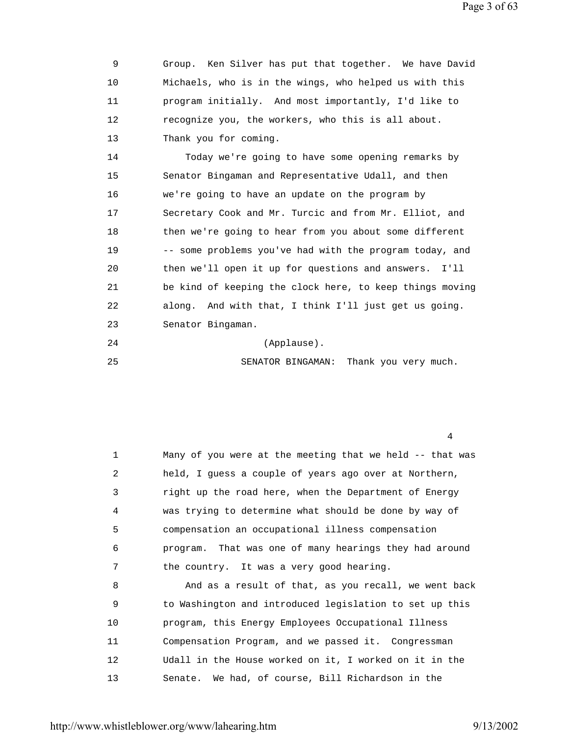9 Group. Ken Silver has put that together. We have David 10 Michaels, who is in the wings, who helped us with this 11 program initially. And most importantly, I'd like to 12 recognize you, the workers, who this is all about. 13 Thank you for coming.

 14 Today we're going to have some opening remarks by 15 Senator Bingaman and Representative Udall, and then 16 we're going to have an update on the program by 17 Secretary Cook and Mr. Turcic and from Mr. Elliot, and 18 then we're going to hear from you about some different 19 -- some problems you've had with the program today, and 20 then we'll open it up for questions and answers. I'll 21 be kind of keeping the clock here, to keep things moving 22 along. And with that, I think I'll just get us going. 23 Senator Bingaman.

- 24 (Applause).
- 25 SENATOR BINGAMAN: Thank you very much.

4

 1 Many of you were at the meeting that we held -- that was 2 held, I guess a couple of years ago over at Northern, 3 right up the road here, when the Department of Energy 4 was trying to determine what should be done by way of 5 compensation an occupational illness compensation 6 program. That was one of many hearings they had around 7 the country. It was a very good hearing. 8 And as a result of that, as you recall, we went back 9 to Washington and introduced legislation to set up this 10 program, this Energy Employees Occupational Illness 11 Compensation Program, and we passed it. Congressman 12 Udall in the House worked on it, I worked on it in the

13 Senate. We had, of course, Bill Richardson in the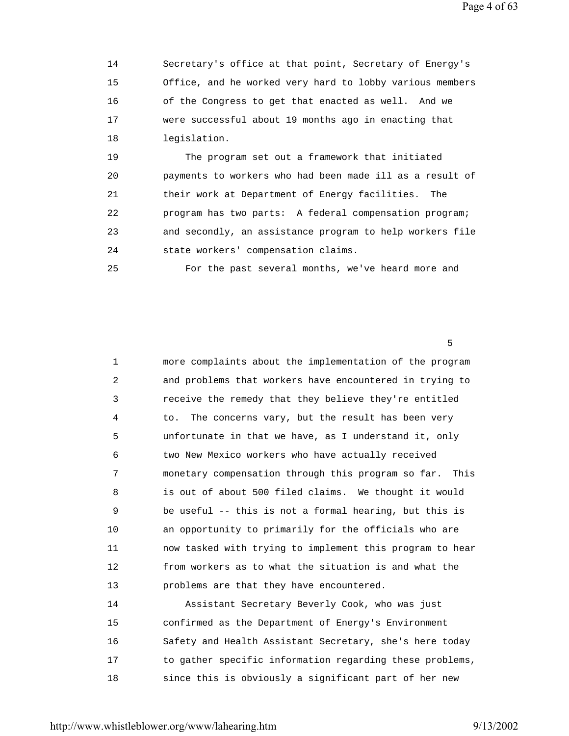Page 4 of 63

 14 Secretary's office at that point, Secretary of Energy's 15 Office, and he worked very hard to lobby various members 16 of the Congress to get that enacted as well. And we 17 were successful about 19 months ago in enacting that 18 legislation.

 19 The program set out a framework that initiated 20 payments to workers who had been made ill as a result of 21 their work at Department of Energy facilities. The 22 program has two parts: A federal compensation program; 23 and secondly, an assistance program to help workers file 24 state workers' compensation claims.

25 For the past several months, we've heard more and

the contract of the contract of the contract of the contract of the contract of the contract of the contract of

| $\mathbf 1$ | more complaints about the implementation of the program    |
|-------------|------------------------------------------------------------|
| 2           | and problems that workers have encountered in trying to    |
| 3           | receive the remedy that they believe they're entitled      |
| 4           | The concerns vary, but the result has been very<br>to.     |
| 5           | unfortunate in that we have, as I understand it, only      |
| 6           | two New Mexico workers who have actually received          |
| 7           | monetary compensation through this program so far.<br>This |
| 8           | is out of about 500 filed claims. We thought it would      |
| 9           | be useful -- this is not a formal hearing, but this is     |
| 10          | an opportunity to primarily for the officials who are      |
| 11          | now tasked with trying to implement this program to hear   |
| 12          | from workers as to what the situation is and what the      |
| 13          | problems are that they have encountered.                   |
| 14          | Assistant Secretary Beverly Cook, who was just             |
| 15          | confirmed as the Department of Energy's Environment        |
| 16          | Safety and Health Assistant Secretary, she's here today    |
| 17          | to gather specific information regarding these problems,   |

18 since this is obviously a significant part of her new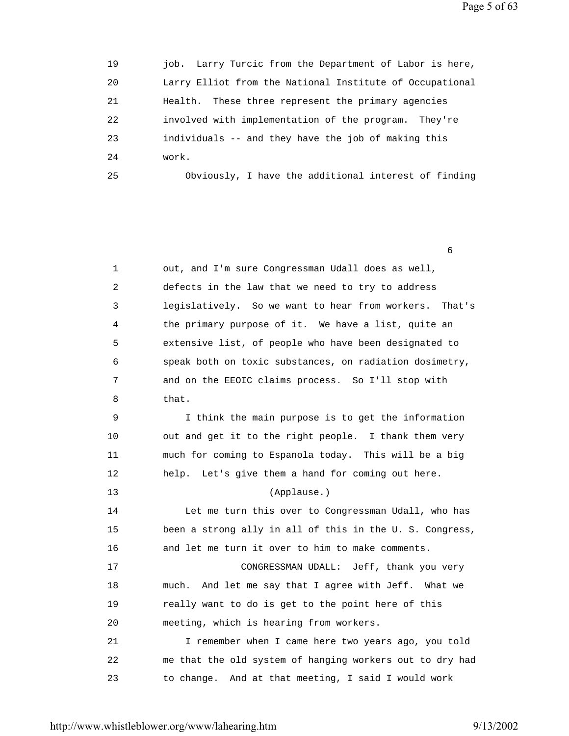Page 5 of 63

| 19 | job. Larry Turcic from the Department of Labor is here,  |
|----|----------------------------------------------------------|
| 20 | Larry Elliot from the National Institute of Occupational |
| 21 | These three represent the primary agencies<br>Health.    |
| 22 | involved with implementation of the program. They're     |
| 23 | individuals -- and they have the job of making this      |
| 24 | work.                                                    |
| 25 | Obviously, I have the additional interest of finding     |

 $\sim$  6.6  $\sim$  6.6  $\sim$  6.6  $\sim$  6.6  $\sim$  6.6  $\sim$  6.6  $\sim$  6.6  $\sim$  6.6  $\sim$  6.6  $\sim$  6.6  $\sim$  6.6  $\sim$  6.6  $\sim$  6.6  $\sim$  6.6  $\sim$  6.6  $\sim$  6.6  $\sim$  6.6  $\sim$  6.6  $\sim$  6.6  $\sim$  6.6  $\sim$  6.6  $\sim$  6.6  $\sim$  6.6  $\sim$  6.6  $\sim$ 

| 1  | out, and I'm sure Congressman Udall does as well,         |  |  |
|----|-----------------------------------------------------------|--|--|
| 2  | defects in the law that we need to try to address         |  |  |
| 3  | legislatively. So we want to hear from workers.<br>That's |  |  |
| 4  | the primary purpose of it. We have a list, quite an       |  |  |
| 5  | extensive list, of people who have been designated to     |  |  |
| 6  | speak both on toxic substances, on radiation dosimetry,   |  |  |
| 7  | and on the EEOIC claims process. So I'll stop with        |  |  |
| 8  | that.                                                     |  |  |
| 9  | I think the main purpose is to get the information        |  |  |
| 10 | out and get it to the right people. I thank them very     |  |  |
| 11 | much for coming to Espanola today. This will be a big     |  |  |
| 12 | Let's give them a hand for coming out here.<br>help.      |  |  |
| 13 | (Applause.)                                               |  |  |
| 14 | Let me turn this over to Congressman Udall, who has       |  |  |
| 15 | been a strong ally in all of this in the U. S. Congress,  |  |  |
| 16 | and let me turn it over to him to make comments.          |  |  |
| 17 | CONGRESSMAN UDALL: Jeff, thank you very                   |  |  |
| 18 | And let me say that I agree with Jeff. What we<br>much.   |  |  |
| 19 | really want to do is get to the point here of this        |  |  |
| 20 | meeting, which is hearing from workers.                   |  |  |
| 21 | I remember when I came here two years ago, you told       |  |  |
| 22 | me that the old system of hanging workers out to dry had  |  |  |
| 23 | to change. And at that meeting, I said I would work       |  |  |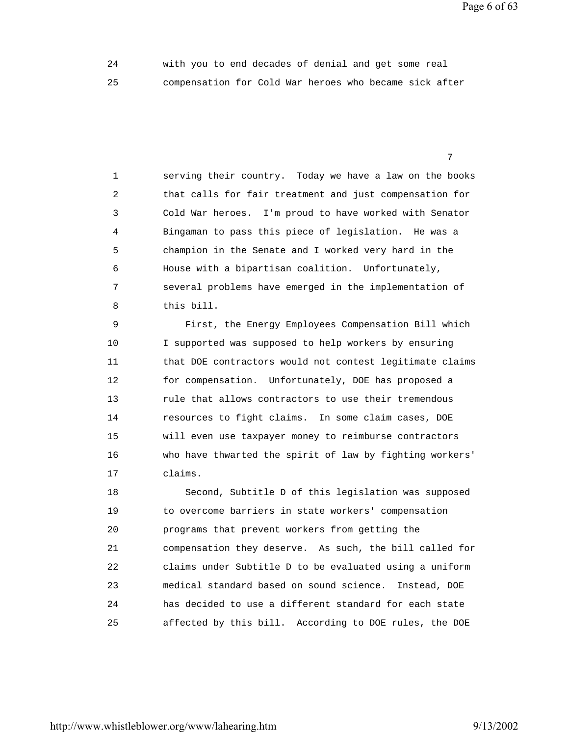Page 6 of 63

 24 with you to end decades of denial and get some real 25 compensation for Cold War heroes who became sick after

<u>7</u> The contract of the contract of the contract of the contract of the contract of the contract of the contract of the contract of the contract of the contract of the contract of the contract of the contract of the contra

 1 serving their country. Today we have a law on the books 2 that calls for fair treatment and just compensation for 3 Cold War heroes. I'm proud to have worked with Senator 4 Bingaman to pass this piece of legislation. He was a 5 champion in the Senate and I worked very hard in the 6 House with a bipartisan coalition. Unfortunately, 7 several problems have emerged in the implementation of 8 this bill.

 9 First, the Energy Employees Compensation Bill which 10 I supported was supposed to help workers by ensuring 11 that DOE contractors would not contest legitimate claims 12 for compensation. Unfortunately, DOE has proposed a 13 rule that allows contractors to use their tremendous 14 resources to fight claims. In some claim cases, DOE 15 will even use taxpayer money to reimburse contractors 16 who have thwarted the spirit of law by fighting workers' 17 claims.

 18 Second, Subtitle D of this legislation was supposed 19 to overcome barriers in state workers' compensation 20 programs that prevent workers from getting the 21 compensation they deserve. As such, the bill called for 22 claims under Subtitle D to be evaluated using a uniform 23 medical standard based on sound science. Instead, DOE 24 has decided to use a different standard for each state 25 affected by this bill. According to DOE rules, the DOE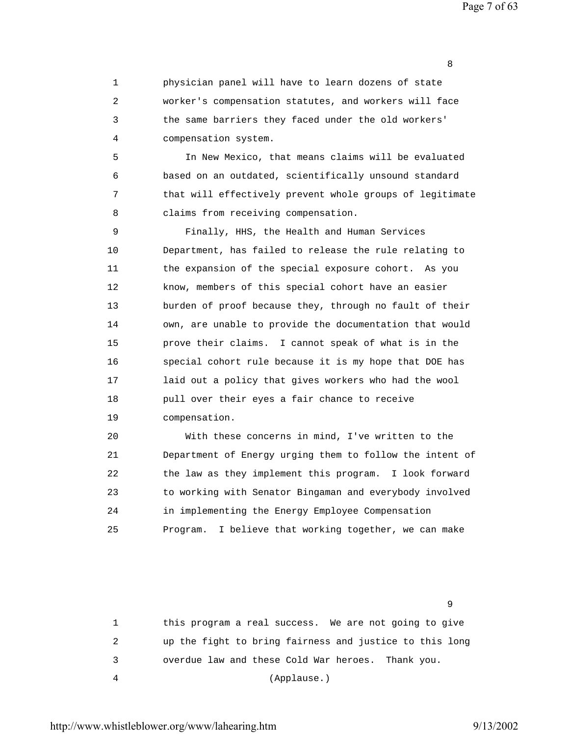Page 7 of 63

 1 physician panel will have to learn dozens of state 2 worker's compensation statutes, and workers will face 3 the same barriers they faced under the old workers' 4 compensation system.

experience of the contract of the contract of the contract of the contract of the contract of the contract of the contract of the contract of the contract of the contract of the contract of the contract of the contract of

 5 In New Mexico, that means claims will be evaluated 6 based on an outdated, scientifically unsound standard 7 that will effectively prevent whole groups of legitimate 8 claims from receiving compensation.

 9 Finally, HHS, the Health and Human Services 10 Department, has failed to release the rule relating to 11 the expansion of the special exposure cohort. As you 12 know, members of this special cohort have an easier 13 burden of proof because they, through no fault of their 14 own, are unable to provide the documentation that would 15 prove their claims. I cannot speak of what is in the 16 special cohort rule because it is my hope that DOE has 17 laid out a policy that gives workers who had the wool 18 pull over their eyes a fair chance to receive 19 compensation.

 20 With these concerns in mind, I've written to the 21 Department of Energy urging them to follow the intent of 22 the law as they implement this program. I look forward 23 to working with Senator Bingaman and everybody involved 24 in implementing the Energy Employee Compensation 25 Program. I believe that working together, we can make

 1 this program a real success. We are not going to give 2 up the fight to bring fairness and justice to this long 3 overdue law and these Cold War heroes. Thank you. 4 (Applause.)

en de la construction de la construction de la construction de la construction de la construction de la constr<br>1980 : la construction de la construction de la construction de la construction de la construction de la const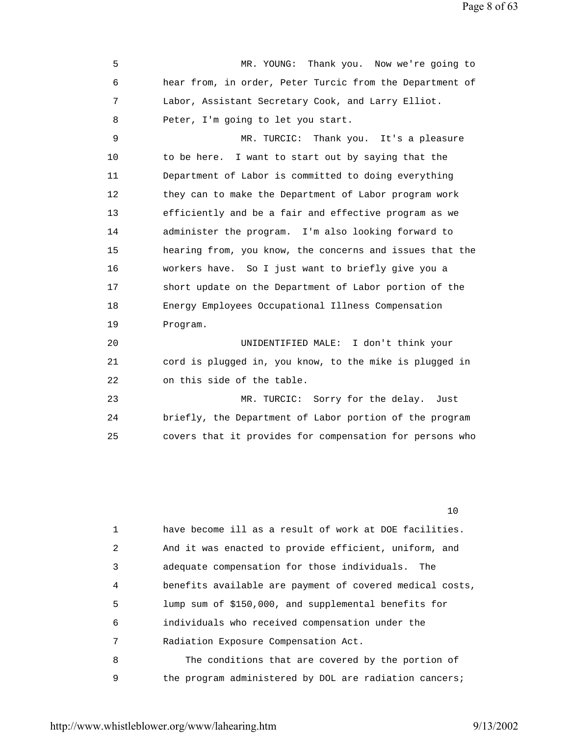Page 8 of 63

 5 MR. YOUNG: Thank you. Now we're going to 6 hear from, in order, Peter Turcic from the Department of 7 Labor, Assistant Secretary Cook, and Larry Elliot. 8 Peter, I'm going to let you start. 9 MR. TURCIC: Thank you. It's a pleasure 10 to be here. I want to start out by saying that the 11 Department of Labor is committed to doing everything 12 they can to make the Department of Labor program work 13 efficiently and be a fair and effective program as we 14 administer the program. I'm also looking forward to 15 hearing from, you know, the concerns and issues that the 16 workers have. So I just want to briefly give you a 17 short update on the Department of Labor portion of the 18 Energy Employees Occupational Illness Compensation 19 Program. 20 UNIDENTIFIED MALE: I don't think your 21 cord is plugged in, you know, to the mike is plugged in 22 on this side of the table. 23 MR. TURCIC: Sorry for the delay. Just 24 briefly, the Department of Labor portion of the program 25 covers that it provides for compensation for persons who

10

| 1 | have become ill as a result of work at DOE facilities.   |
|---|----------------------------------------------------------|
| 2 | And it was enacted to provide efficient, uniform, and    |
| 3 | adequate compensation for those individuals. The         |
| 4 | benefits available are payment of covered medical costs, |
| 5 | lump sum of \$150,000, and supplemental benefits for     |
| 6 | individuals who received compensation under the          |
| 7 | Radiation Exposure Compensation Act.                     |
| 8 | The conditions that are covered by the portion of        |
| 9 | the program administered by DOL are radiation cancers;   |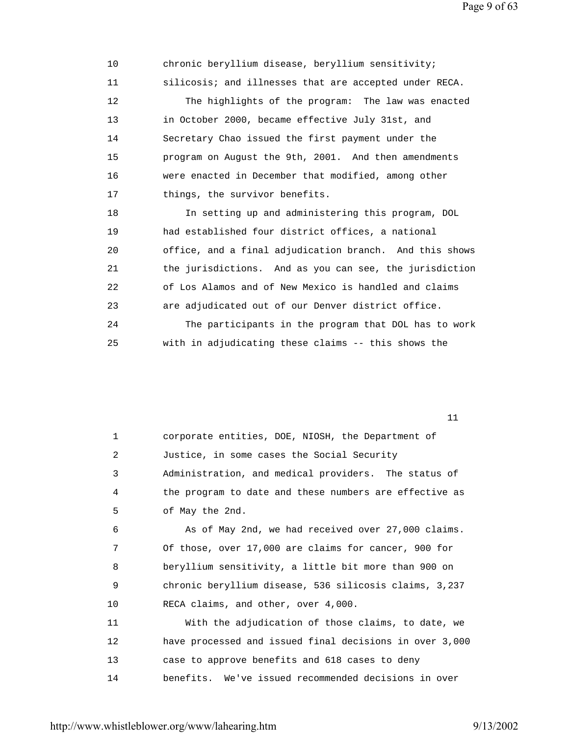Page 9 of 63

 10 chronic beryllium disease, beryllium sensitivity; 11 silicosis; and illnesses that are accepted under RECA. 12 The highlights of the program: The law was enacted 13 in October 2000, became effective July 31st, and 14 Secretary Chao issued the first payment under the 15 program on August the 9th, 2001. And then amendments 16 were enacted in December that modified, among other 17 things, the survivor benefits. 18 In setting up and administering this program, DOL 19 had established four district offices, a national 20 office, and a final adjudication branch. And this shows 21 the jurisdictions. And as you can see, the jurisdiction 22 of Los Alamos and of New Mexico is handled and claims 23 are adjudicated out of our Denver district office. 24 The participants in the program that DOL has to work 25 with in adjudicating these claims -- this shows the

 1 corporate entities, DOE, NIOSH, the Department of 2 Justice, in some cases the Social Security 3 Administration, and medical providers. The status of 4 the program to date and these numbers are effective as 5 of May the 2nd. 6 As of May 2nd, we had received over 27,000 claims. 7 Of those, over 17,000 are claims for cancer, 900 for 8 beryllium sensitivity, a little bit more than 900 on 9 chronic beryllium disease, 536 silicosis claims, 3,237 10 RECA claims, and other, over 4,000. 11 With the adjudication of those claims, to date, we 12 have processed and issued final decisions in over 3,000 13 case to approve benefits and 618 cases to deny 14 benefits. We've issued recommended decisions in over

 $11$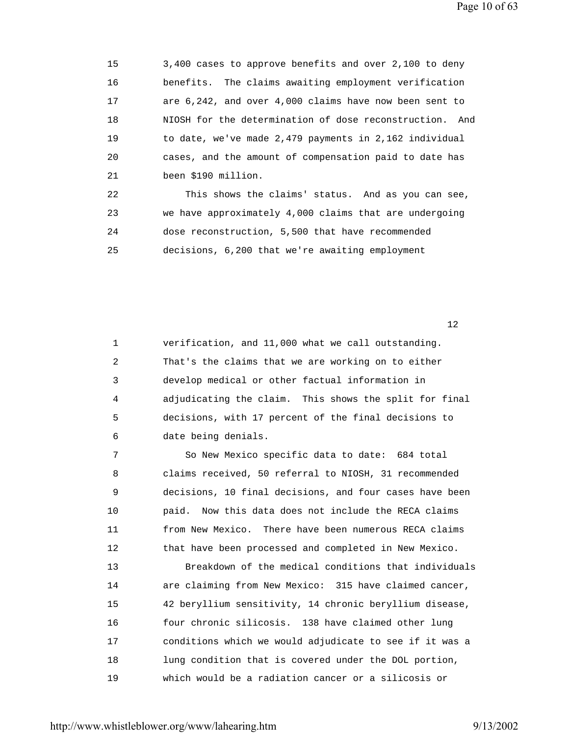15 3,400 cases to approve benefits and over 2,100 to deny 16 benefits. The claims awaiting employment verification 17 are 6,242, and over 4,000 claims have now been sent to 18 NIOSH for the determination of dose reconstruction. And 19 to date, we've made 2,479 payments in 2,162 individual 20 cases, and the amount of compensation paid to date has 21 been \$190 million.

 22 This shows the claims' status. And as you can see, 23 we have approximately 4,000 claims that are undergoing 24 dose reconstruction, 5,500 that have recommended 25 decisions, 6,200 that we're awaiting employment

 $12$ 

 1 verification, and 11,000 what we call outstanding. 2 That's the claims that we are working on to either 3 develop medical or other factual information in 4 adjudicating the claim. This shows the split for final 5 decisions, with 17 percent of the final decisions to 6 date being denials.

 7 So New Mexico specific data to date: 684 total 8 claims received, 50 referral to NIOSH, 31 recommended 9 decisions, 10 final decisions, and four cases have been 10 paid. Now this data does not include the RECA claims 11 from New Mexico. There have been numerous RECA claims 12 that have been processed and completed in New Mexico. 13 Breakdown of the medical conditions that individuals 14 are claiming from New Mexico: 315 have claimed cancer, 15 42 beryllium sensitivity, 14 chronic beryllium disease, 16 four chronic silicosis. 138 have claimed other lung 17 conditions which we would adjudicate to see if it was a 18 lung condition that is covered under the DOL portion, 19 which would be a radiation cancer or a silicosis or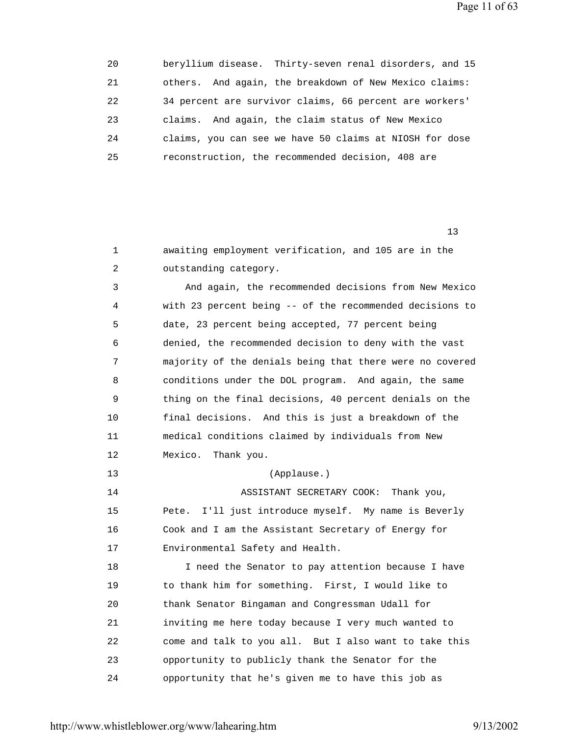Page 11 of 63

| 20 |         | beryllium disease. Thirty-seven renal disorders, and 15 |
|----|---------|---------------------------------------------------------|
| 21 |         | others. And again, the breakdown of New Mexico claims:  |
| 22 |         | 34 percent are survivor claims, 66 percent are workers' |
| 23 | claims. | And again, the claim status of New Mexico               |
| 24 |         | claims, you can see we have 50 claims at NIOSH for dose |
| 25 |         | reconstruction, the recommended decision, 408 are       |

13<sup>3</sup>

 1 awaiting employment verification, and 105 are in the 2 outstanding category.

 3 And again, the recommended decisions from New Mexico 4 with 23 percent being -- of the recommended decisions to 5 date, 23 percent being accepted, 77 percent being 6 denied, the recommended decision to deny with the vast 7 majority of the denials being that there were no covered 8 conditions under the DOL program. And again, the same 9 thing on the final decisions, 40 percent denials on the 10 final decisions. And this is just a breakdown of the 11 medical conditions claimed by individuals from New 12 Mexico. Thank you.

 14 ASSISTANT SECRETARY COOK: Thank you, 15 Pete. I'll just introduce myself. My name is Beverly 16 Cook and I am the Assistant Secretary of Energy for 17 Environmental Safety and Health.

13 (Applause.)

 18 I need the Senator to pay attention because I have 19 to thank him for something. First, I would like to 20 thank Senator Bingaman and Congressman Udall for 21 inviting me here today because I very much wanted to 22 come and talk to you all. But I also want to take this 23 opportunity to publicly thank the Senator for the 24 opportunity that he's given me to have this job as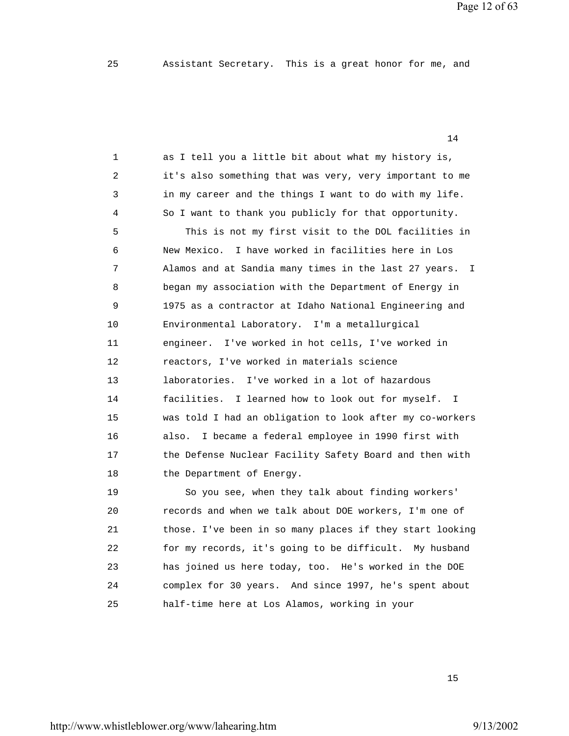Page 12 of 63

|    | 14                                                                    |
|----|-----------------------------------------------------------------------|
| 1  | as I tell you a little bit about what my history is,                  |
| 2  | it's also something that was very, very important to me               |
| 3  | in my career and the things I want to do with my life.                |
| 4  | So I want to thank you publicly for that opportunity.                 |
| 5  | This is not my first visit to the DOL facilities in                   |
| 6  | I have worked in facilities here in Los<br>New Mexico.                |
| 7  | Alamos and at Sandia many times in the last 27 years.<br>$\mathbb{I}$ |
| 8  | began my association with the Department of Energy in                 |
| 9  | 1975 as a contractor at Idaho National Engineering and                |
| 10 | Environmental Laboratory. I'm a metallurgical                         |
| 11 | engineer. I've worked in hot cells, I've worked in                    |
| 12 | reactors, I've worked in materials science                            |
| 13 | I've worked in a lot of hazardous<br>laboratories.                    |
| 14 | facilities. I learned how to look out for myself.<br>$\mathbb{I}$     |
| 15 | was told I had an obligation to look after my co-workers              |
| 16 | I became a federal employee in 1990 first with<br>also.               |
| 17 | the Defense Nuclear Facility Safety Board and then with               |
| 18 | the Department of Energy.                                             |
| 19 | So you see, when they talk about finding workers'                     |
| 20 | records and when we talk about DOE workers, I'm one of                |
| 21 | those. I've been in so many places if they start looking              |
| 22 | for my records, it's going to be difficult. My husband                |
| 23 | has joined us here today, too. He's worked in the DOE                 |
| 24 | complex for 30 years. And since 1997, he's spent about                |
| 25 | half-time here at Los Alamos, working in your                         |
|    |                                                                       |

15 and 15 and 15 and 15 and 15 and 15 and 15 and 15 and 15 and 15 and 15 and 15 and 15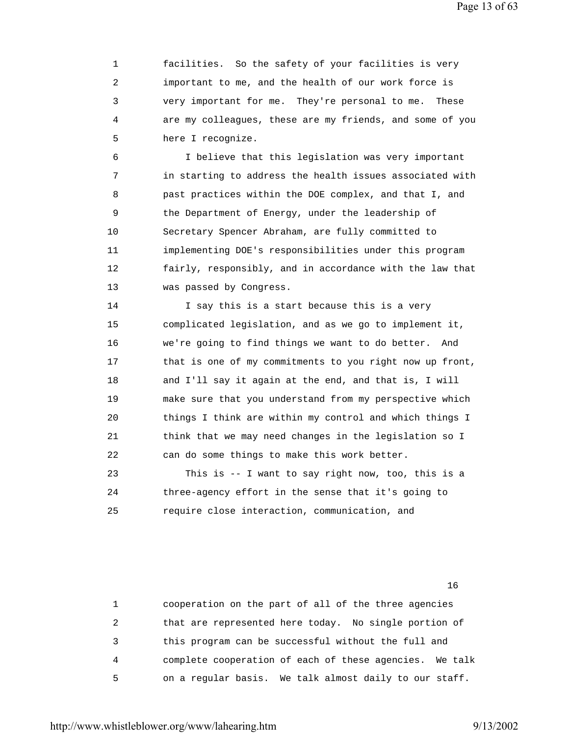1 facilities. So the safety of your facilities is very 2 important to me, and the health of our work force is 3 very important for me. They're personal to me. These 4 are my colleagues, these are my friends, and some of you 5 here I recognize.

 6 I believe that this legislation was very important 7 in starting to address the health issues associated with 8 past practices within the DOE complex, and that I, and 9 the Department of Energy, under the leadership of 10 Secretary Spencer Abraham, are fully committed to 11 implementing DOE's responsibilities under this program 12 fairly, responsibly, and in accordance with the law that 13 was passed by Congress.

 14 I say this is a start because this is a very 15 complicated legislation, and as we go to implement it, 16 we're going to find things we want to do better. And 17 that is one of my commitments to you right now up front, 18 and I'll say it again at the end, and that is, I will 19 make sure that you understand from my perspective which 20 things I think are within my control and which things I 21 think that we may need changes in the legislation so I 22 can do some things to make this work better.

 23 This is -- I want to say right now, too, this is a 24 three-agency effort in the sense that it's going to 25 require close interaction, communication, and

 1 cooperation on the part of all of the three agencies 2 that are represented here today. No single portion of 3 this program can be successful without the full and 4 complete cooperation of each of these agencies. We talk 5 on a regular basis. We talk almost daily to our staff.

16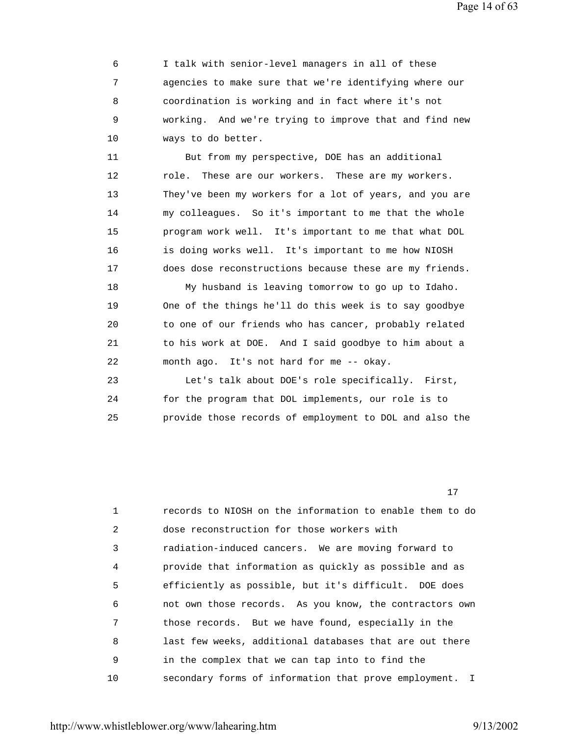Page 14 of 63

 6 I talk with senior-level managers in all of these 7 agencies to make sure that we're identifying where our 8 coordination is working and in fact where it's not 9 working. And we're trying to improve that and find new 10 ways to do better.

 11 But from my perspective, DOE has an additional 12 role. These are our workers. These are my workers. 13 They've been my workers for a lot of years, and you are 14 my colleagues. So it's important to me that the whole 15 program work well. It's important to me that what DOL 16 is doing works well. It's important to me how NIOSH 17 does dose reconstructions because these are my friends.

 18 My husband is leaving tomorrow to go up to Idaho. 19 One of the things he'll do this week is to say goodbye 20 to one of our friends who has cancer, probably related 21 to his work at DOE. And I said goodbye to him about a 22 month ago. It's not hard for me -- okay.

 23 Let's talk about DOE's role specifically. First, 24 for the program that DOL implements, our role is to 25 provide those records of employment to DOL and also the

17 and 17 and 17 and 17 and 17 and 17 and 17 and 17 and 17 and 17 and 17 and 17 and 17 and 17 and 17 and 17 an

|    | records to NIOSH on the information to enable them to do |
|----|----------------------------------------------------------|
| 2  | dose reconstruction for those workers with               |
| 3  | radiation-induced cancers. We are moving forward to      |
| 4  | provide that information as quickly as possible and as   |
| 5  | efficiently as possible, but it's difficult. DOE does    |
| 6  | not own those records. As you know, the contractors own  |
| 7  | those records. But we have found, especially in the      |
| 8  | last few weeks, additional databases that are out there  |
| 9  | in the complex that we can tap into to find the          |
| 10 | secondary forms of information that prove employment. I  |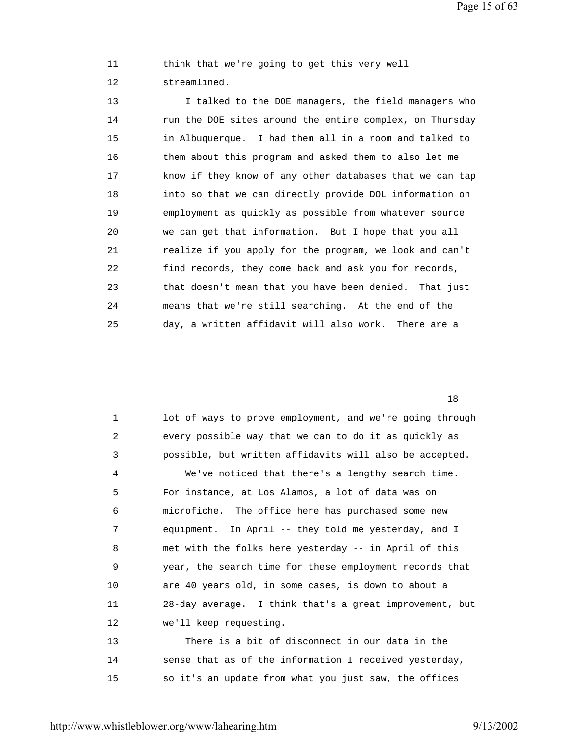Page 15 of 63

 11 think that we're going to get this very well 12 streamlined.

13 I talked to the DOE managers, the field managers who 14 run the DOE sites around the entire complex, on Thursday 15 in Albuquerque. I had them all in a room and talked to 16 them about this program and asked them to also let me 17 know if they know of any other databases that we can tap 18 into so that we can directly provide DOL information on 19 employment as quickly as possible from whatever source 20 we can get that information. But I hope that you all 21 realize if you apply for the program, we look and can't 22 find records, they come back and ask you for records, 23 that doesn't mean that you have been denied. That just 24 means that we're still searching. At the end of the 25 day, a written affidavit will also work. There are a

18

| 1  | lot of ways to prove employment, and we're going through |
|----|----------------------------------------------------------|
| 2  | every possible way that we can to do it as quickly as    |
| 3  | possible, but written affidavits will also be accepted.  |
| 4  | We've noticed that there's a lengthy search time.        |
| 5  | For instance, at Los Alamos, a lot of data was on        |
| 6  | microfiche. The office here has purchased some new       |
| 7  | equipment. In April -- they told me yesterday, and I     |
| 8  | met with the folks here yesterday -- in April of this    |
| 9  | year, the search time for these employment records that  |
| 10 | are 40 years old, in some cases, is down to about a      |
| 11 | 28-day average. I think that's a great improvement, but  |
| 12 | we'll keep requesting.                                   |
| 13 | There is a bit of disconnect in our data in the          |
| 14 | sense that as of the information I received yesterday,   |
| 15 | so it's an update from what you just saw, the offices    |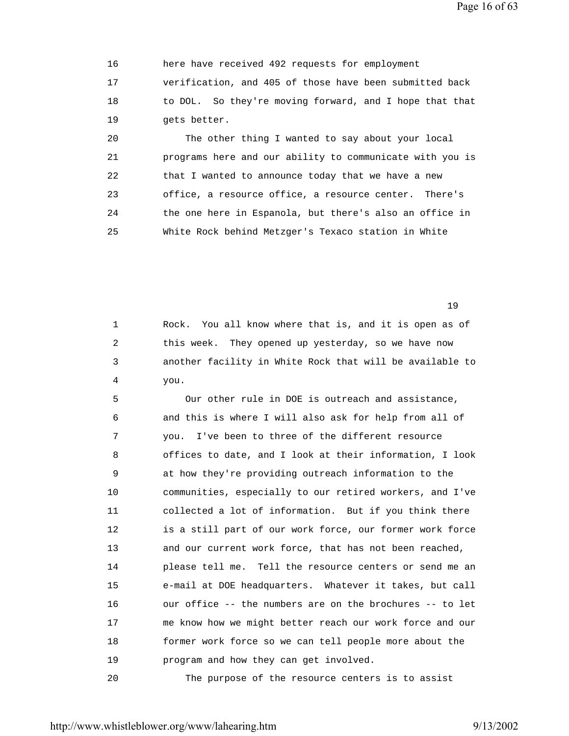Page 16 of 63

 16 here have received 492 requests for employment 17 verification, and 405 of those have been submitted back 18 to DOL. So they're moving forward, and I hope that that 19 gets better.

 20 The other thing I wanted to say about your local 21 programs here and our ability to communicate with you is 22 that I wanted to announce today that we have a new 23 office, a resource office, a resource center. There's 24 the one here in Espanola, but there's also an office in 25 White Rock behind Metzger's Texaco station in White

 $19$ 

 1 Rock. You all know where that is, and it is open as of 2 this week. They opened up yesterday, so we have now 3 another facility in White Rock that will be available to 4 you.

 5 Our other rule in DOE is outreach and assistance, 6 and this is where I will also ask for help from all of 7 you. I've been to three of the different resource 8 offices to date, and I look at their information, I look 9 at how they're providing outreach information to the 10 communities, especially to our retired workers, and I've 11 collected a lot of information. But if you think there 12 is a still part of our work force, our former work force 13 and our current work force, that has not been reached, 14 please tell me. Tell the resource centers or send me an 15 e-mail at DOE headquarters. Whatever it takes, but call 16 our office -- the numbers are on the brochures -- to let 17 me know how we might better reach our work force and our 18 former work force so we can tell people more about the 19 program and how they can get involved.

20 The purpose of the resource centers is to assist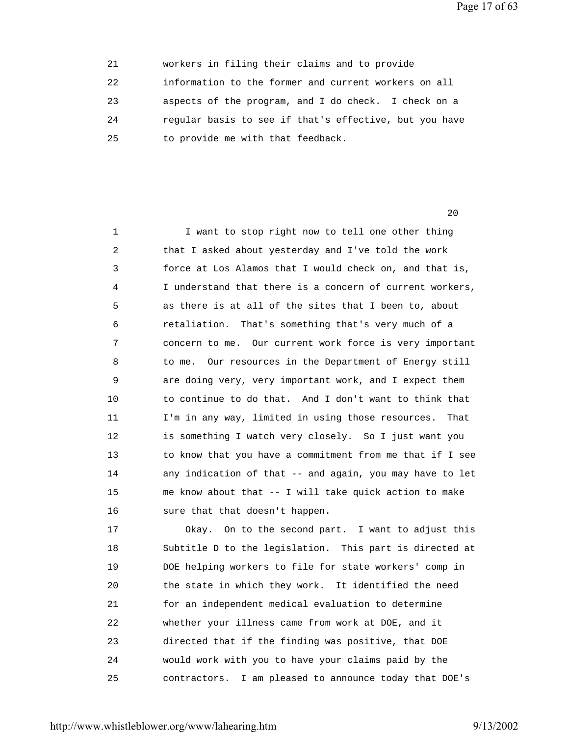Page 17 of 63

| 21 | workers in filing their claims and to provide          |  |
|----|--------------------------------------------------------|--|
| 22 | information to the former and current workers on all   |  |
| 23 | aspects of the program, and I do check. I check on a   |  |
| 24 | regular basis to see if that's effective, but you have |  |
| 25 | to provide me with that feedback.                      |  |

 $20$ 

1 I want to stop right now to tell one other thing 2 that I asked about yesterday and I've told the work 3 force at Los Alamos that I would check on, and that is, 4 I understand that there is a concern of current workers, 5 as there is at all of the sites that I been to, about 6 retaliation. That's something that's very much of a 7 concern to me. Our current work force is very important 8 to me. Our resources in the Department of Energy still 9 are doing very, very important work, and I expect them 10 to continue to do that. And I don't want to think that 11 I'm in any way, limited in using those resources. That 12 is something I watch very closely. So I just want you 13 to know that you have a commitment from me that if I see 14 any indication of that -- and again, you may have to let 15 me know about that -- I will take quick action to make 16 sure that that doesn't happen.

 17 Okay. On to the second part. I want to adjust this 18 Subtitle D to the legislation. This part is directed at 19 DOE helping workers to file for state workers' comp in 20 the state in which they work. It identified the need 21 for an independent medical evaluation to determine 22 whether your illness came from work at DOE, and it 23 directed that if the finding was positive, that DOE 24 would work with you to have your claims paid by the 25 contractors. I am pleased to announce today that DOE's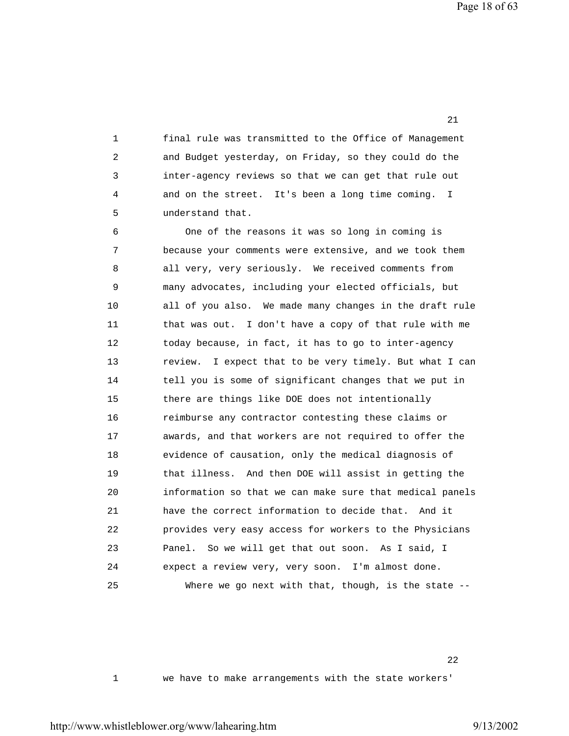1 final rule was transmitted to the Office of Management 2 and Budget yesterday, on Friday, so they could do the 3 inter-agency reviews so that we can get that rule out 4 and on the street. It's been a long time coming. I 5 understand that.

21 **21** 

 6 One of the reasons it was so long in coming is 7 because your comments were extensive, and we took them 8 all very, very seriously. We received comments from 9 many advocates, including your elected officials, but 10 all of you also. We made many changes in the draft rule 11 that was out. I don't have a copy of that rule with me 12 today because, in fact, it has to go to inter-agency 13 review. I expect that to be very timely. But what I can 14 tell you is some of significant changes that we put in 15 there are things like DOE does not intentionally 16 reimburse any contractor contesting these claims or 17 awards, and that workers are not required to offer the 18 evidence of causation, only the medical diagnosis of 19 that illness. And then DOE will assist in getting the 20 information so that we can make sure that medical panels 21 have the correct information to decide that. And it 22 provides very easy access for workers to the Physicians 23 Panel. So we will get that out soon. As I said, I 24 expect a review very, very soon. I'm almost done. 25 Where we go next with that, though, is the state --

 $22$ 

1 we have to make arrangements with the state workers'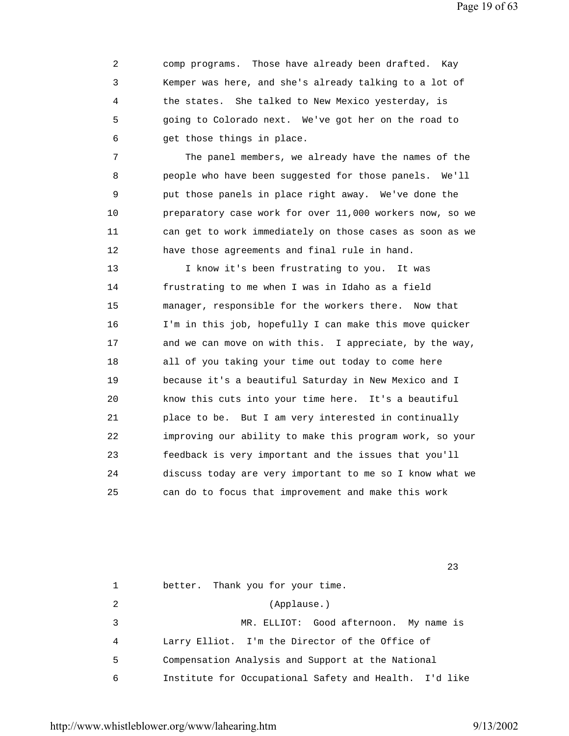2 comp programs. Those have already been drafted. Kay 3 Kemper was here, and she's already talking to a lot of 4 the states. She talked to New Mexico yesterday, is 5 going to Colorado next. We've got her on the road to 6 get those things in place.

 7 The panel members, we already have the names of the 8 people who have been suggested for those panels. We'll 9 put those panels in place right away. We've done the 10 preparatory case work for over 11,000 workers now, so we 11 can get to work immediately on those cases as soon as we 12 have those agreements and final rule in hand.

 13 I know it's been frustrating to you. It was 14 frustrating to me when I was in Idaho as a field 15 manager, responsible for the workers there. Now that 16 I'm in this job, hopefully I can make this move quicker 17 and we can move on with this. I appreciate, by the way, 18 all of you taking your time out today to come here 19 because it's a beautiful Saturday in New Mexico and I 20 know this cuts into your time here. It's a beautiful 21 place to be. But I am very interested in continually 22 improving our ability to make this program work, so your 23 feedback is very important and the issues that you'll 24 discuss today are very important to me so I know what we 25 can do to focus that improvement and make this work

 1 better. Thank you for your time. 2 (Applause.) 3 MR. ELLIOT: Good afternoon. My name is 4 Larry Elliot. I'm the Director of the Office of 5 Compensation Analysis and Support at the National 6 Institute for Occupational Safety and Health. I'd like

<u>23</u>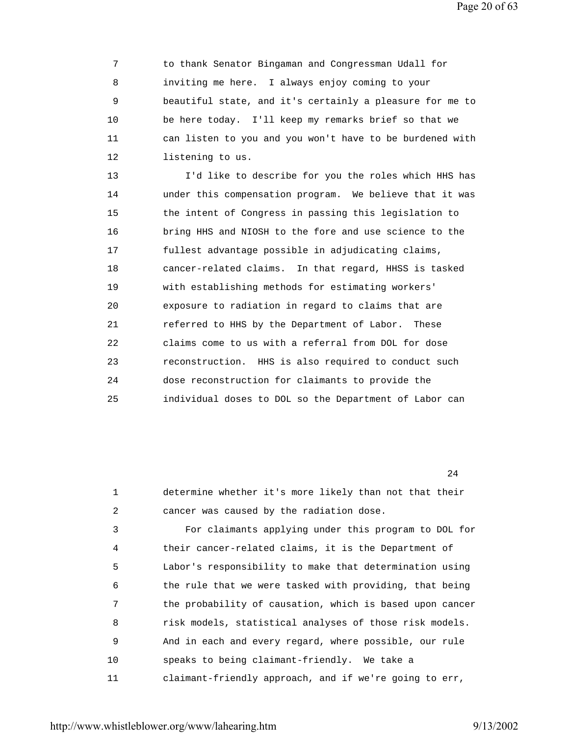Page 20 of 63

 7 to thank Senator Bingaman and Congressman Udall for 8 inviting me here. I always enjoy coming to your 9 beautiful state, and it's certainly a pleasure for me to 10 be here today. I'll keep my remarks brief so that we 11 can listen to you and you won't have to be burdened with 12 listening to us.

 13 I'd like to describe for you the roles which HHS has 14 under this compensation program. We believe that it was 15 the intent of Congress in passing this legislation to 16 bring HHS and NIOSH to the fore and use science to the 17 fullest advantage possible in adjudicating claims, 18 cancer-related claims. In that regard, HHSS is tasked 19 with establishing methods for estimating workers' 20 exposure to radiation in regard to claims that are 21 referred to HHS by the Department of Labor. These 22 claims come to us with a referral from DOL for dose 23 reconstruction. HHS is also required to conduct such 24 dose reconstruction for claimants to provide the 25 individual doses to DOL so the Department of Labor can

24

 1 determine whether it's more likely than not that their 2 cancer was caused by the radiation dose. 3 For claimants applying under this program to DOL for 4 their cancer-related claims, it is the Department of 5 Labor's responsibility to make that determination using 6 the rule that we were tasked with providing, that being 7 the probability of causation, which is based upon cancer 8 risk models, statistical analyses of those risk models. 9 And in each and every regard, where possible, our rule 10 speaks to being claimant-friendly. We take a 11 claimant-friendly approach, and if we're going to err,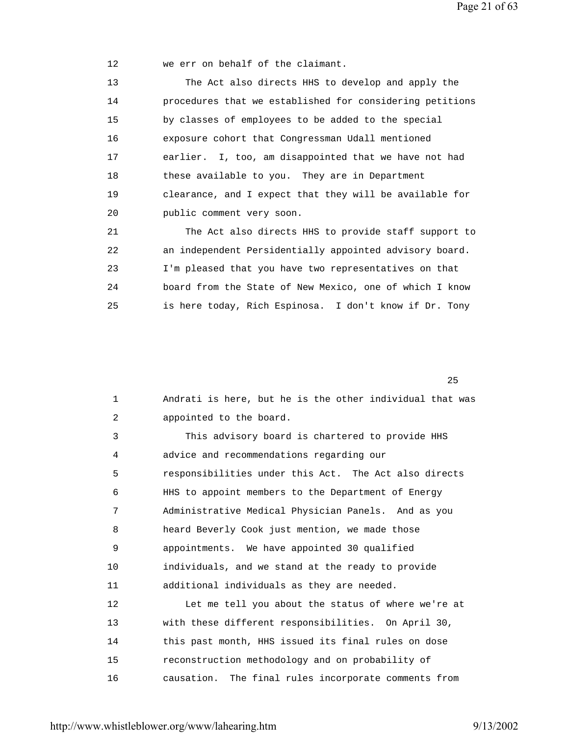Page 21 of 63

12 we err on behalf of the claimant.

 13 The Act also directs HHS to develop and apply the 14 procedures that we established for considering petitions 15 by classes of employees to be added to the special 16 exposure cohort that Congressman Udall mentioned 17 earlier. I, too, am disappointed that we have not had 18 these available to you. They are in Department 19 clearance, and I expect that they will be available for 20 public comment very soon. 21 The Act also directs HHS to provide staff support to 22 an independent Persidentially appointed advisory board. 23 I'm pleased that you have two representatives on that 24 board from the State of New Mexico, one of which I know

25 is here today, Rich Espinosa. I don't know if Dr. Tony

 $25$ 

| $\mathbf 1$ | Andrati is here, but he is the other individual that was |
|-------------|----------------------------------------------------------|
| 2           | appointed to the board.                                  |
| 3           | This advisory board is chartered to provide HHS          |
| 4           | advice and recommendations regarding our                 |
| 5           | responsibilities under this Act. The Act also directs    |
| 6           | HHS to appoint members to the Department of Energy       |
| 7           | Administrative Medical Physician Panels. And as you      |
| 8           | heard Beverly Cook just mention, we made those           |
| 9           | appointments. We have appointed 30 qualified             |
| 10          | individuals, and we stand at the ready to provide        |
| 11          | additional individuals as they are needed.               |
| 12          | Let me tell you about the status of where we're at       |
| 13          | with these different responsibilities. On April 30,      |
| 14          | this past month, HHS issued its final rules on dose      |
| 15          | reconstruction methodology and on probability of         |
| 16          | causation. The final rules incorporate comments from     |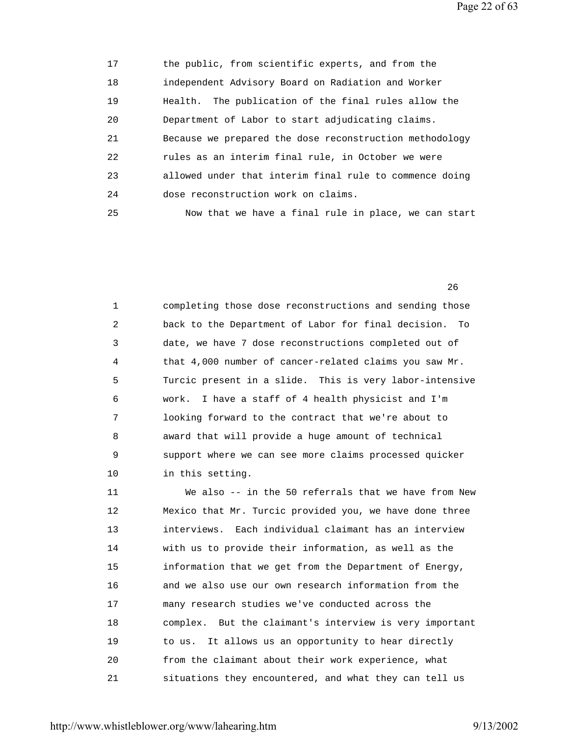Page 22 of 63

 17 the public, from scientific experts, and from the 18 independent Advisory Board on Radiation and Worker 19 Health. The publication of the final rules allow the 20 Department of Labor to start adjudicating claims. 21 Because we prepared the dose reconstruction methodology 22 rules as an interim final rule, in October we were 23 allowed under that interim final rule to commence doing 24 dose reconstruction work on claims. 25 Now that we have a final rule in place, we can start

 1 completing those dose reconstructions and sending those 2 back to the Department of Labor for final decision. To 3 date, we have 7 dose reconstructions completed out of 4 that 4,000 number of cancer-related claims you saw Mr. 5 Turcic present in a slide. This is very labor-intensive 6 work. I have a staff of 4 health physicist and I'm 7 looking forward to the contract that we're about to 8 award that will provide a huge amount of technical 9 support where we can see more claims processed quicker 10 in this setting.

 $26$ 

 11 We also -- in the 50 referrals that we have from New 12 Mexico that Mr. Turcic provided you, we have done three 13 interviews. Each individual claimant has an interview 14 with us to provide their information, as well as the 15 information that we get from the Department of Energy, 16 and we also use our own research information from the 17 many research studies we've conducted across the 18 complex. But the claimant's interview is very important 19 to us. It allows us an opportunity to hear directly 20 from the claimant about their work experience, what 21 situations they encountered, and what they can tell us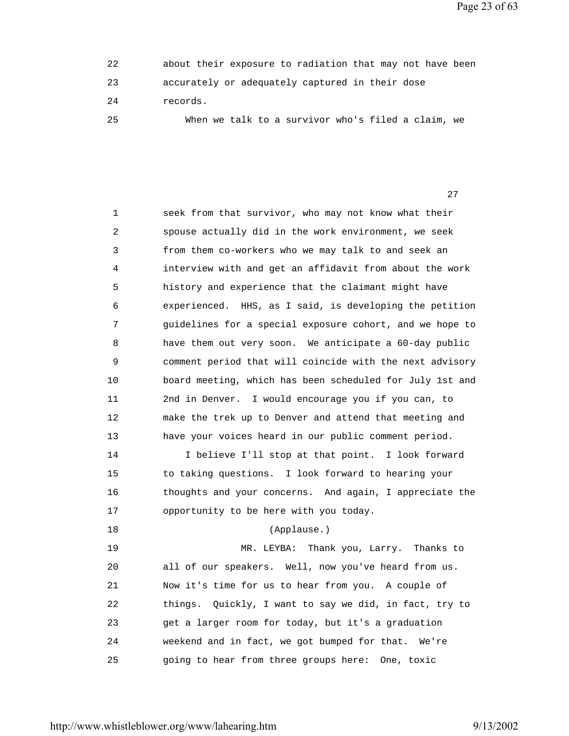Page 23 of 63

| 22  | about their exposure to radiation that may not have been |
|-----|----------------------------------------------------------|
| 23  | accurately or adequately captured in their dose          |
| 2.4 | records.                                                 |
| 25  | When we talk to a survivor who's filed a claim, we       |

27 and 27 and 27 and 27 and 27 and 27 and 27 and 27 and 27 and 27 and 27 and 27 and 27 and 27 and 27

 1 seek from that survivor, who may not know what their 2 spouse actually did in the work environment, we seek 3 from them co-workers who we may talk to and seek an 4 interview with and get an affidavit from about the work 5 history and experience that the claimant might have 6 experienced. HHS, as I said, is developing the petition 7 guidelines for a special exposure cohort, and we hope to 8 have them out very soon. We anticipate a 60-day public 9 comment period that will coincide with the next advisory 10 board meeting, which has been scheduled for July 1st and 11 2nd in Denver. I would encourage you if you can, to 12 make the trek up to Denver and attend that meeting and 13 have your voices heard in our public comment period. 14 I believe I'll stop at that point. I look forward 15 to taking questions. I look forward to hearing your 16 thoughts and your concerns. And again, I appreciate the 17 opportunity to be here with you today. 18 (Applause.) 19 MR. LEYBA: Thank you, Larry. Thanks to 20 all of our speakers. Well, now you've heard from us. 21 Now it's time for us to hear from you. A couple of

 22 things. Quickly, I want to say we did, in fact, try to 23 get a larger room for today, but it's a graduation 24 weekend and in fact, we got bumped for that. We're 25 going to hear from three groups here: One, toxic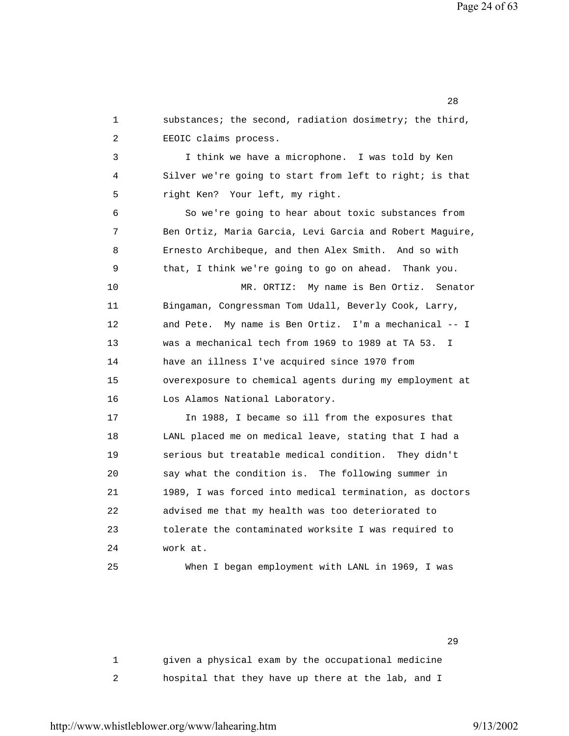1 substances; the second, radiation dosimetry; the third, 2 EEOIC claims process. 3 I think we have a microphone. I was told by Ken 4 Silver we're going to start from left to right; is that 5 right Ken? Your left, my right. 6 So we're going to hear about toxic substances from 7 Ben Ortiz, Maria Garcia, Levi Garcia and Robert Maguire, 8 Ernesto Archibeque, and then Alex Smith. And so with 9 that, I think we're going to go on ahead. Thank you. 10 MR. ORTIZ: My name is Ben Ortiz. Senator 11 Bingaman, Congressman Tom Udall, Beverly Cook, Larry, 12 and Pete. My name is Ben Ortiz. I'm a mechanical -- I 13 was a mechanical tech from 1969 to 1989 at TA 53. I 14 have an illness I've acquired since 1970 from 15 overexposure to chemical agents during my employment at 16 Los Alamos National Laboratory. 17 In 1988, I became so ill from the exposures that 18 LANL placed me on medical leave, stating that I had a 19 serious but treatable medical condition. They didn't 20 say what the condition is. The following summer in 21 1989, I was forced into medical termination, as doctors 22 advised me that my health was too deteriorated to 23 tolerate the contaminated worksite I was required to 24 work at. 25 When I began employment with LANL in 1969, I was

 1 given a physical exam by the occupational medicine 2 hospital that they have up there at the lab, and I

 $29$ 

http://www.whistleblower.org/www/lahearing.htm 9/13/2002

<u>28</u> and 28 and 28 and 28 and 28 and 28 and 28 and 28 and 28 and 28 and 28 and 28 and 28 and 28 and 28 and 28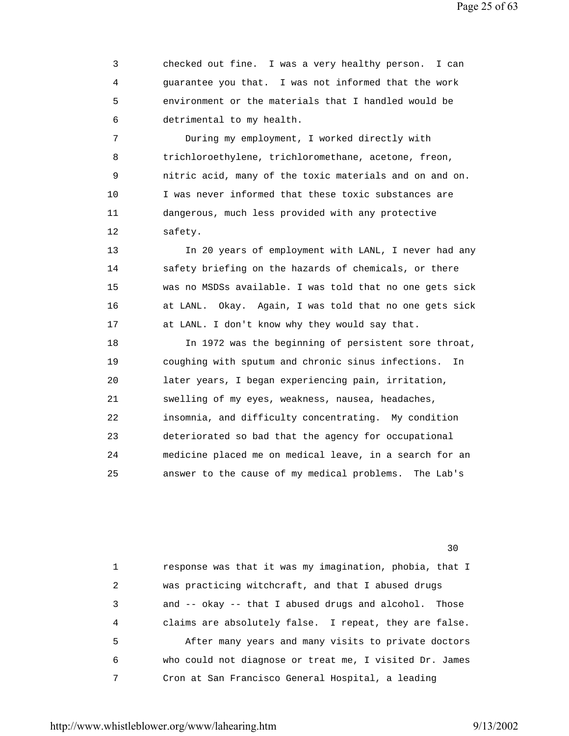Page 25 of 63

 3 checked out fine. I was a very healthy person. I can 4 guarantee you that. I was not informed that the work 5 environment or the materials that I handled would be 6 detrimental to my health.

 7 During my employment, I worked directly with 8 trichloroethylene, trichloromethane, acetone, freon, 9 nitric acid, many of the toxic materials and on and on. 10 I was never informed that these toxic substances are 11 dangerous, much less provided with any protective 12 safety.

 13 In 20 years of employment with LANL, I never had any 14 safety briefing on the hazards of chemicals, or there 15 was no MSDSs available. I was told that no one gets sick 16 at LANL. Okay. Again, I was told that no one gets sick 17 at LANL. I don't know why they would say that.

 18 In 1972 was the beginning of persistent sore throat, 19 coughing with sputum and chronic sinus infections. In 20 later years, I began experiencing pain, irritation, 21 swelling of my eyes, weakness, nausea, headaches, 22 insomnia, and difficulty concentrating. My condition 23 deteriorated so bad that the agency for occupational 24 medicine placed me on medical leave, in a search for an 25 answer to the cause of my medical problems. The Lab's

<u>30</u>

 1 response was that it was my imagination, phobia, that I 2 was practicing witchcraft, and that I abused drugs 3 and -- okay -- that I abused drugs and alcohol. Those 4 claims are absolutely false. I repeat, they are false. 5 After many years and many visits to private doctors 6 who could not diagnose or treat me, I visited Dr. James 7 Cron at San Francisco General Hospital, a leading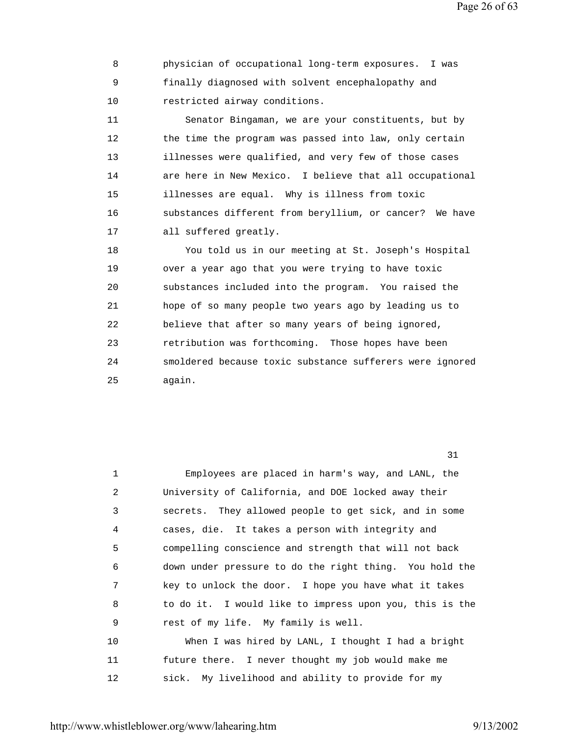Page 26 of 63

 8 physician of occupational long-term exposures. I was 9 finally diagnosed with solvent encephalopathy and 10 restricted airway conditions.

 11 Senator Bingaman, we are your constituents, but by 12 the time the program was passed into law, only certain 13 illnesses were qualified, and very few of those cases 14 are here in New Mexico. I believe that all occupational 15 illnesses are equal. Why is illness from toxic 16 substances different from beryllium, or cancer? We have 17 all suffered greatly.

 18 You told us in our meeting at St. Joseph's Hospital 19 over a year ago that you were trying to have toxic 20 substances included into the program. You raised the 21 hope of so many people two years ago by leading us to 22 believe that after so many years of being ignored, 23 retribution was forthcoming. Those hopes have been 24 smoldered because toxic substance sufferers were ignored 25 again.

31

| 1       | Employees are placed in harm's way, and LANL, the       |
|---------|---------------------------------------------------------|
| 2       | University of California, and DOE locked away their     |
| 3       | secrets. They allowed people to get sick, and in some   |
| 4       | cases, die. It takes a person with integrity and        |
| 5       | compelling conscience and strength that will not back   |
| 6       | down under pressure to do the right thing. You hold the |
| 7       | key to unlock the door. I hope you have what it takes   |
| 8       | to do it. I would like to impress upon you, this is the |
| 9       | rest of my life. My family is well.                     |
| 10      | When I was hired by LANL, I thought I had a bright      |
| 11      | future there. I never thought my job would make me      |
| $12 \,$ | sick. My livelihood and ability to provide for my       |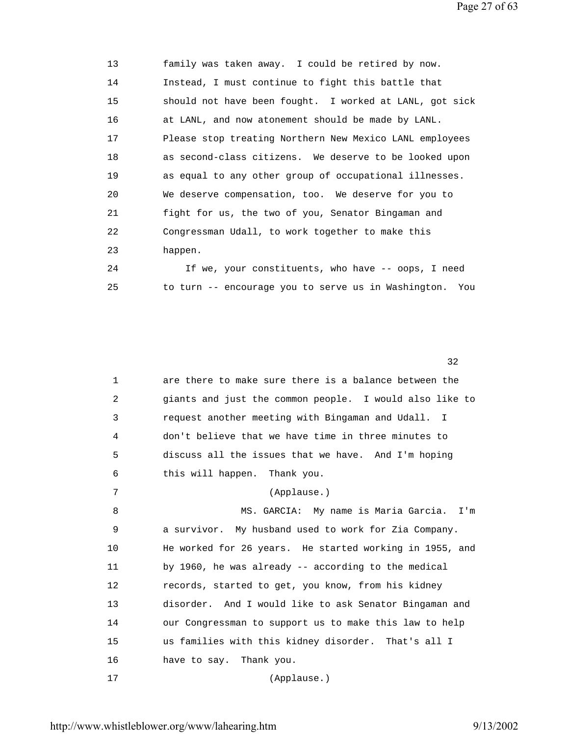Page 27 of 63

| 13 | family was taken away. I could be retired by now.       |
|----|---------------------------------------------------------|
| 14 | Instead, I must continue to fight this battle that      |
| 15 | should not have been fought. I worked at LANL, got sick |
| 16 | at LANL, and now atonement should be made by LANL.      |
| 17 | Please stop treating Northern New Mexico LANL employees |
| 18 | as second-class citizens. We deserve to be looked upon  |
| 19 | as equal to any other group of occupational illnesses.  |
| 20 | We deserve compensation, too. We deserve for you to     |
| 21 | fight for us, the two of you, Senator Bingaman and      |
| 22 | Congressman Udall, to work together to make this        |
| 23 | happen.                                                 |
| 24 | If we, your constituents, who have -- oops, I need      |
| 25 | to turn -- encourage you to serve us in Washington. You |

 $32$ 

| $\mathbf 1$ | are there to make sure there is a balance between the   |
|-------------|---------------------------------------------------------|
| 2           | giants and just the common people. I would also like to |
| 3           | request another meeting with Bingaman and Udall. I      |
| 4           | don't believe that we have time in three minutes to     |
| 5           | discuss all the issues that we have. And I'm hoping     |
| 6           | this will happen. Thank you.                            |
| 7           | (Applause.)                                             |
| 8           | MS. GARCIA: My name is Maria Garcia. I'm                |
| 9           | a survivor. My husband used to work for Zia Company.    |
| 10          | He worked for 26 years. He started working in 1955, and |
| 11          | by 1960, he was already -- according to the medical     |
| 12          | records, started to get, you know, from his kidney      |
| 13          | disorder. And I would like to ask Senator Bingaman and  |
| 14          | our Congressman to support us to make this law to help  |
| 15          | us families with this kidney disorder. That's all I     |
| 16          | have to say. Thank you.                                 |
| 17          | (Applause.)                                             |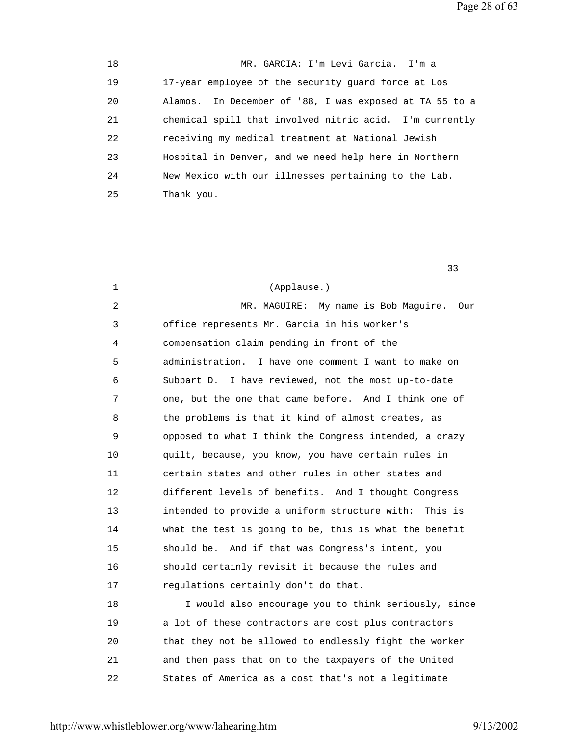Page 28 of 63

 18 MR. GARCIA: I'm Levi Garcia. I'm a 19 17-year employee of the security guard force at Los 20 Alamos. In December of '88, I was exposed at TA 55 to a 21 chemical spill that involved nitric acid. I'm currently 22 receiving my medical treatment at National Jewish 23 Hospital in Denver, and we need help here in Northern 24 New Mexico with our illnesses pertaining to the Lab. 25 Thank you.

 $33$ 

 1 (Applause.) 2 MR. MAGUIRE: My name is Bob Maguire. Our 3 office represents Mr. Garcia in his worker's 4 compensation claim pending in front of the 5 administration. I have one comment I want to make on 6 Subpart D. I have reviewed, not the most up-to-date 7 one, but the one that came before. And I think one of 8 the problems is that it kind of almost creates, as 9 opposed to what I think the Congress intended, a crazy 10 quilt, because, you know, you have certain rules in 11 certain states and other rules in other states and 12 different levels of benefits. And I thought Congress 13 intended to provide a uniform structure with: This is 14 what the test is going to be, this is what the benefit 15 should be. And if that was Congress's intent, you 16 should certainly revisit it because the rules and 17 regulations certainly don't do that. 18 I would also encourage you to think seriously, since 19 a lot of these contractors are cost plus contractors 20 that they not be allowed to endlessly fight the worker 21 and then pass that on to the taxpayers of the United 22 States of America as a cost that's not a legitimate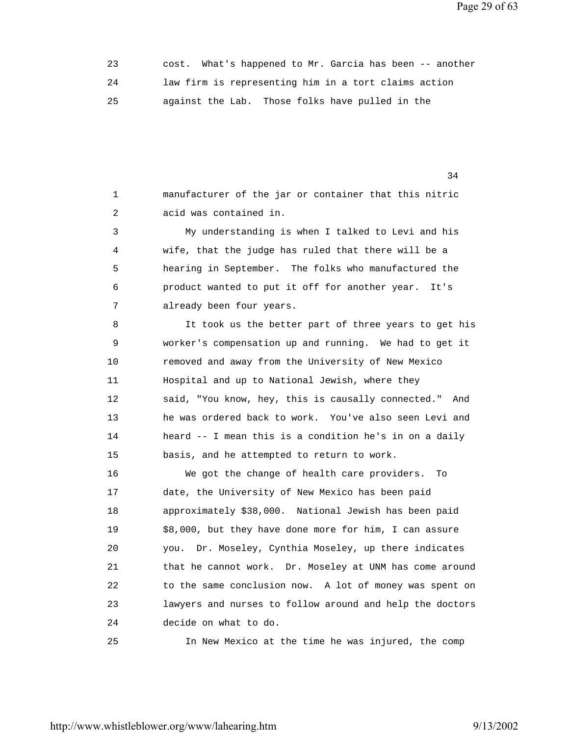Page 29 of 63

 23 cost. What's happened to Mr. Garcia has been -- another 24 law firm is representing him in a tort claims action 25 against the Lab. Those folks have pulled in the

 1 manufacturer of the jar or container that this nitric 2 acid was contained in.

34

 3 My understanding is when I talked to Levi and his 4 wife, that the judge has ruled that there will be a 5 hearing in September. The folks who manufactured the 6 product wanted to put it off for another year. It's 7 already been four years.

 8 It took us the better part of three years to get his 9 worker's compensation up and running. We had to get it 10 removed and away from the University of New Mexico 11 Hospital and up to National Jewish, where they 12 said, "You know, hey, this is causally connected." And 13 he was ordered back to work. You've also seen Levi and 14 heard -- I mean this is a condition he's in on a daily 15 basis, and he attempted to return to work.

 16 We got the change of health care providers. To 17 date, the University of New Mexico has been paid 18 approximately \$38,000. National Jewish has been paid 19 \$8,000, but they have done more for him, I can assure 20 you. Dr. Moseley, Cynthia Moseley, up there indicates 21 that he cannot work. Dr. Moseley at UNM has come around 22 to the same conclusion now. A lot of money was spent on 23 lawyers and nurses to follow around and help the doctors 24 decide on what to do.

25 In New Mexico at the time he was injured, the comp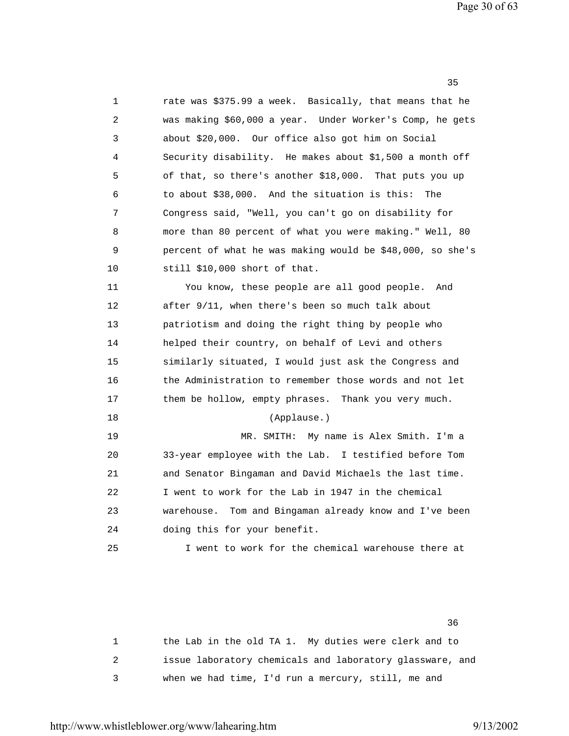Page 30 of 63

| 1  | rate was \$375.99 a week. Basically, that means that he   |
|----|-----------------------------------------------------------|
| 2  | was making \$60,000 a year. Under Worker's Comp, he gets  |
| 3  | about \$20,000. Our office also got him on Social         |
| 4  | Security disability. He makes about \$1,500 a month off   |
| 5  | of that, so there's another \$18,000. That puts you up    |
| 6  | to about \$38,000. And the situation is this:<br>The      |
| 7  | Congress said, "Well, you can't go on disability for      |
| 8  | more than 80 percent of what you were making." Well, 80   |
| 9  | percent of what he was making would be \$48,000, so she's |
| 10 | still \$10,000 short of that.                             |
| 11 | You know, these people are all good people.<br>And        |
| 12 | after 9/11, when there's been so much talk about          |
| 13 | patriotism and doing the right thing by people who        |
| 14 | helped their country, on behalf of Levi and others        |
| 15 | similarly situated, I would just ask the Congress and     |
| 16 | the Administration to remember those words and not let    |
| 17 | them be hollow, empty phrases. Thank you very much.       |
| 18 | (Applause.)                                               |
| 19 | MR. SMITH: My name is Alex Smith. I'm a                   |
| 20 | 33-year employee with the Lab. I testified before Tom     |
| 21 | and Senator Bingaman and David Michaels the last time.    |
| 22 | I went to work for the Lab in 1947 in the chemical        |
| 23 | warehouse. Tom and Bingaman already know and I've been    |
| 24 | doing this for your benefit.                              |
| 25 | I went to work for the chemical warehouse there at        |

 $35$ 

 $36$ 

 1 the Lab in the old TA 1. My duties were clerk and to 2 issue laboratory chemicals and laboratory glassware, and 3 when we had time, I'd run a mercury, still, me and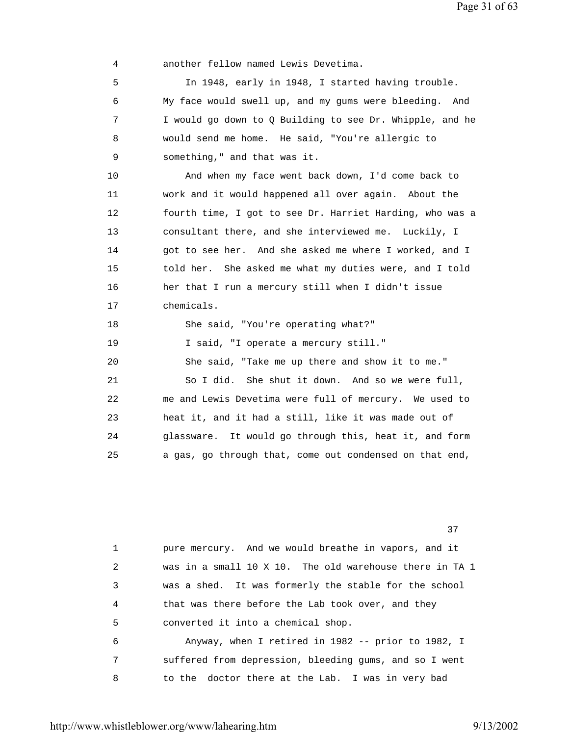4 another fellow named Lewis Devetima. 5 In 1948, early in 1948, I started having trouble. 6 My face would swell up, and my gums were bleeding. And 7 I would go down to Q Building to see Dr. Whipple, and he 8 would send me home. He said, "You're allergic to 9 something," and that was it. 10 And when my face went back down, I'd come back to 11 work and it would happened all over again. About the 12 fourth time, I got to see Dr. Harriet Harding, who was a 13 consultant there, and she interviewed me. Luckily, I 14 got to see her. And she asked me where I worked, and I 15 told her. She asked me what my duties were, and I told 16 her that I run a mercury still when I didn't issue 17 chemicals. 18 She said, "You're operating what?" 19 I said, "I operate a mercury still." 20 She said, "Take me up there and show it to me." 21 So I did. She shut it down. And so we were full, 22 me and Lewis Devetima were full of mercury. We used to 23 heat it, and it had a still, like it was made out of 24 glassware. It would go through this, heat it, and form 25 a gas, go through that, come out condensed on that end,

<u>37</u>

 1 pure mercury. And we would breathe in vapors, and it 2 was in a small 10 X 10. The old warehouse there in TA 1 3 was a shed. It was formerly the stable for the school 4 that was there before the Lab took over, and they 5 converted it into a chemical shop. 6 Anyway, when I retired in 1982 -- prior to 1982, I 7 suffered from depression, bleeding gums, and so I went 8 to the doctor there at the Lab. I was in very bad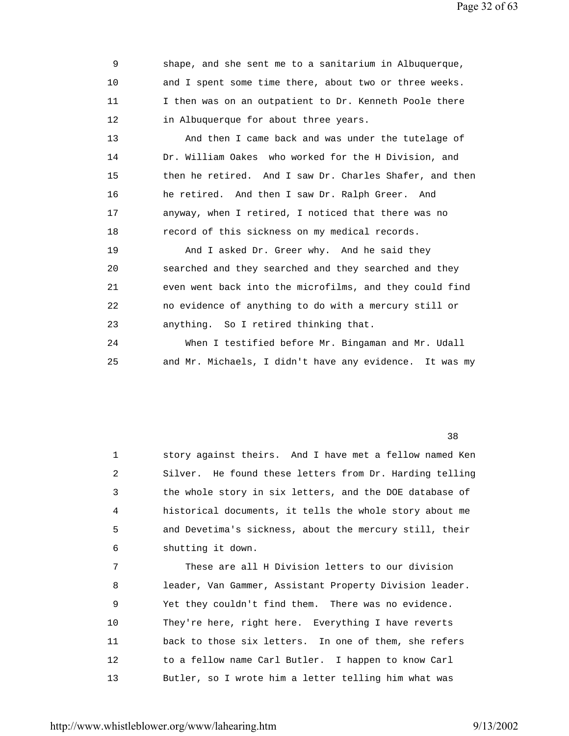Page 32 of 63

| 9  | shape, and she sent me to a sanitarium in Albuquerque,     |
|----|------------------------------------------------------------|
| 10 | and I spent some time there, about two or three weeks.     |
| 11 | I then was on an outpatient to Dr. Kenneth Poole there     |
| 12 | in Albuquerque for about three years.                      |
| 13 | And then I came back and was under the tutelage of         |
| 14 | Dr. William Oakes who worked for the H Division, and       |
| 15 | then he retired. And I saw Dr. Charles Shafer, and then    |
| 16 | he retired. And then I saw Dr. Ralph Greer. And            |
| 17 | anyway, when I retired, I noticed that there was no        |
| 18 | record of this sickness on my medical records.             |
| 19 | And I asked Dr. Greer why. And he said they                |
| 20 | searched and they searched and they searched and they      |
| 21 | even went back into the microfilms, and they could find    |
| 22 | no evidence of anything to do with a mercury still or      |
| 23 | anything. So I retired thinking that.                      |
| 24 | When I testified before Mr. Bingaman and Mr. Udall         |
| 25 | and Mr. Michaels, I didn't have any evidence.<br>It was my |

 $38<sup>3</sup>$ 

 1 story against theirs. And I have met a fellow named Ken 2 Silver. He found these letters from Dr. Harding telling 3 the whole story in six letters, and the DOE database of 4 historical documents, it tells the whole story about me 5 and Devetima's sickness, about the mercury still, their 6 shutting it down.

 7 These are all H Division letters to our division 8 leader, Van Gammer, Assistant Property Division leader. 9 Yet they couldn't find them. There was no evidence. 10 They're here, right here. Everything I have reverts 11 back to those six letters. In one of them, she refers 12 to a fellow name Carl Butler. I happen to know Carl 13 Butler, so I wrote him a letter telling him what was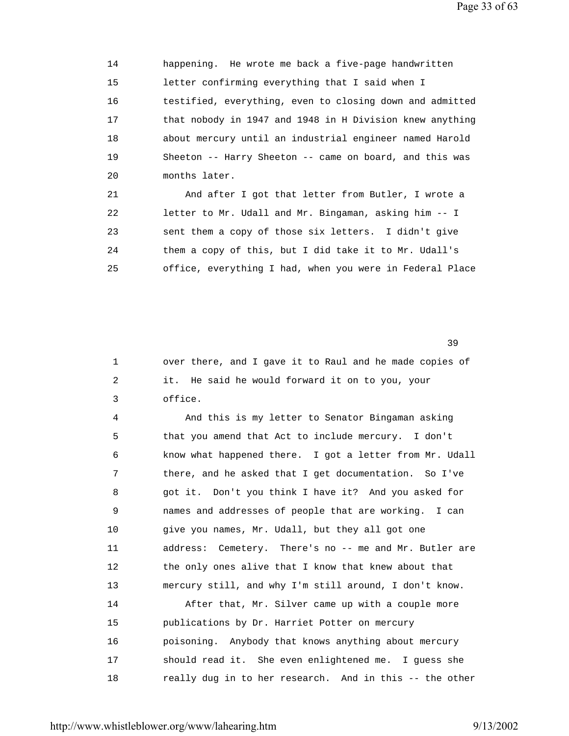14 happening. He wrote me back a five-page handwritten 15 letter confirming everything that I said when I 16 testified, everything, even to closing down and admitted 17 that nobody in 1947 and 1948 in H Division knew anything 18 about mercury until an industrial engineer named Harold 19 Sheeton -- Harry Sheeton -- came on board, and this was 20 months later. 21 And after I got that letter from Butler, I wrote a

 22 letter to Mr. Udall and Mr. Bingaman, asking him -- I 23 sent them a copy of those six letters. I didn't give 24 them a copy of this, but I did take it to Mr. Udall's 25 office, everything I had, when you were in Federal Place

<u>39</u>

 1 over there, and I gave it to Raul and he made copies of 2 it. He said he would forward it on to you, your 3 office.

 4 And this is my letter to Senator Bingaman asking 5 that you amend that Act to include mercury. I don't 6 know what happened there. I got a letter from Mr. Udall 7 there, and he asked that I get documentation. So I've 8 got it. Don't you think I have it? And you asked for 9 names and addresses of people that are working. I can 10 give you names, Mr. Udall, but they all got one 11 address: Cemetery. There's no -- me and Mr. Butler are 12 the only ones alive that I know that knew about that 13 mercury still, and why I'm still around, I don't know. 14 After that, Mr. Silver came up with a couple more 15 publications by Dr. Harriet Potter on mercury 16 poisoning. Anybody that knows anything about mercury 17 should read it. She even enlightened me. I guess she 18 really dug in to her research. And in this -- the other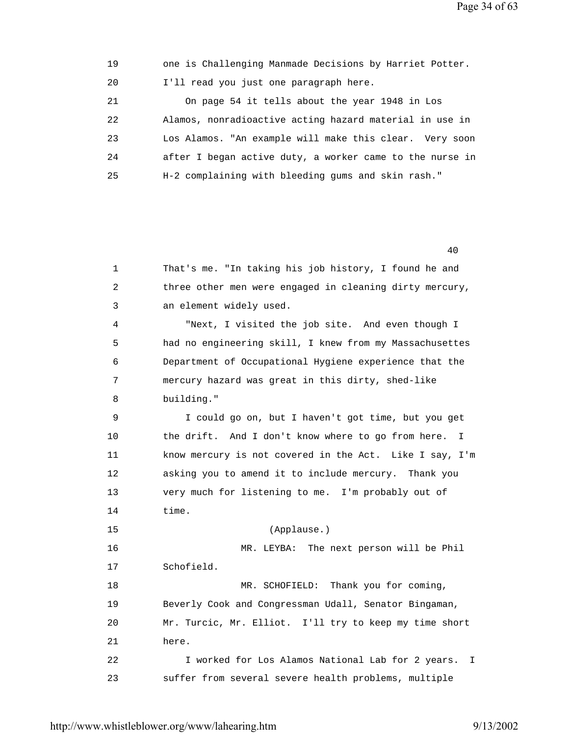19 one is Challenging Manmade Decisions by Harriet Potter. 20 I'll read you just one paragraph here. 21 On page 54 it tells about the year 1948 in Los 22 Alamos, nonradioactive acting hazard material in use in 23 Los Alamos. "An example will make this clear. Very soon 24 after I began active duty, a worker came to the nurse in 25 H-2 complaining with bleeding gums and skin rash."

40

| 1  | That's me. "In taking his job history, I found he and   |
|----|---------------------------------------------------------|
| 2  | three other men were engaged in cleaning dirty mercury, |
| 3  | an element widely used.                                 |
| 4  | "Next, I visited the job site. And even though I        |
| 5  | had no engineering skill, I knew from my Massachusettes |
| 6  | Department of Occupational Hygiene experience that the  |
| 7  | mercury hazard was great in this dirty, shed-like       |
| 8  | building."                                              |
| 9  | I could go on, but I haven't got time, but you get      |
| 10 | the drift. And I don't know where to go from here. I    |
| 11 | know mercury is not covered in the Act. Like I say, I'm |
| 12 | asking you to amend it to include mercury. Thank you    |
| 13 | very much for listening to me. I'm probably out of      |
| 14 | time.                                                   |
| 15 | (Applause.)                                             |
| 16 | MR. LEYBA: The next person will be Phil                 |
| 17 | Schofield.                                              |
| 18 | MR. SCHOFIELD: Thank you for coming,                    |
| 19 | Beverly Cook and Congressman Udall, Senator Bingaman,   |
| 20 | Mr. Turcic, Mr. Elliot. I'll try to keep my time short  |
| 21 | here.                                                   |
| 22 | I worked for Los Alamos National Lab for 2 years. I     |
| 23 | suffer from several severe health problems, multiple    |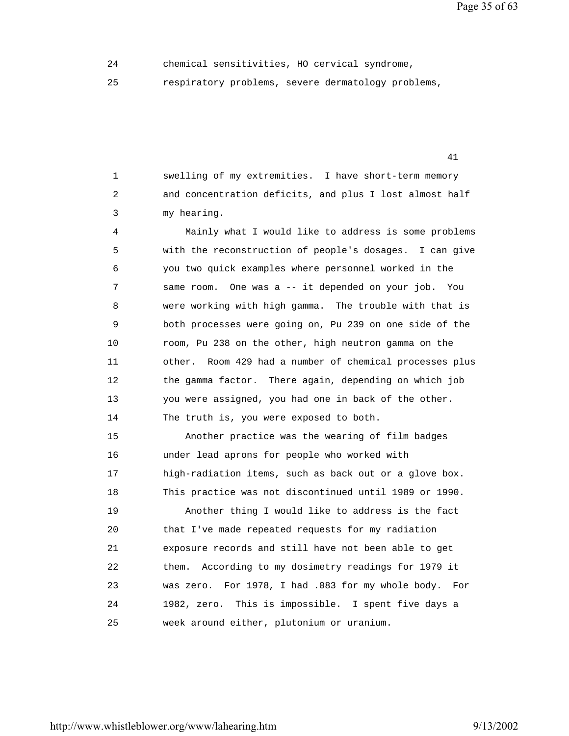Page 35 of 63

24 chemical sensitivities, HO cervical syndrome,

41

25 respiratory problems, severe dermatology problems,

 1 swelling of my extremities. I have short-term memory 2 and concentration deficits, and plus I lost almost half 3 my hearing.

 4 Mainly what I would like to address is some problems 5 with the reconstruction of people's dosages. I can give 6 you two quick examples where personnel worked in the 7 same room. One was a -- it depended on your job. You 8 were working with high gamma. The trouble with that is 9 both processes were going on, Pu 239 on one side of the 10 room, Pu 238 on the other, high neutron gamma on the 11 other. Room 429 had a number of chemical processes plus 12 the gamma factor. There again, depending on which job 13 you were assigned, you had one in back of the other. 14 The truth is, you were exposed to both.

 15 Another practice was the wearing of film badges 16 under lead aprons for people who worked with 17 high-radiation items, such as back out or a glove box. 18 This practice was not discontinued until 1989 or 1990. 19 Another thing I would like to address is the fact 20 that I've made repeated requests for my radiation 21 exposure records and still have not been able to get 22 them. According to my dosimetry readings for 1979 it 23 was zero. For 1978, I had .083 for my whole body. For 24 1982, zero. This is impossible. I spent five days a 25 week around either, plutonium or uranium.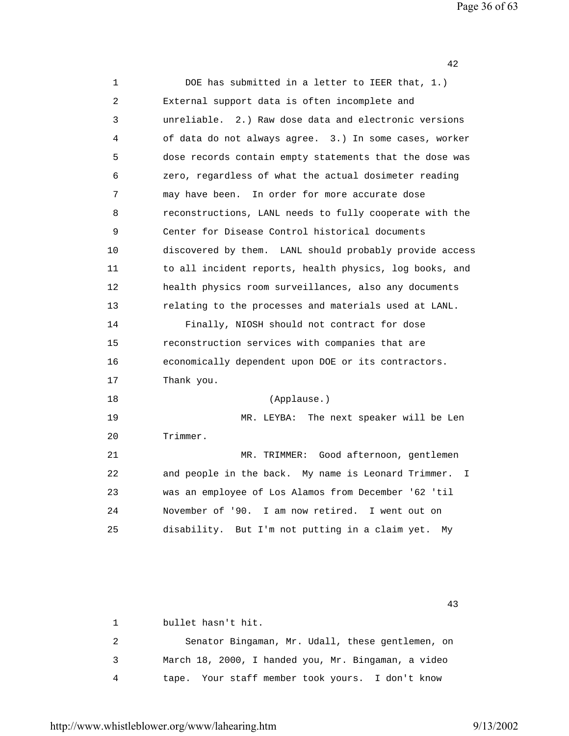Page 36 of 63

42

| 1  | DOE has submitted in a letter to IEER that, 1.)           |
|----|-----------------------------------------------------------|
| 2  | External support data is often incomplete and             |
| 3  | unreliable. 2.) Raw dose data and electronic versions     |
| 4  | of data do not always agree. 3.) In some cases, worker    |
| 5  | dose records contain empty statements that the dose was   |
| 6  | zero, regardless of what the actual dosimeter reading     |
| 7  | may have been. In order for more accurate dose            |
| 8  | reconstructions, LANL needs to fully cooperate with the   |
| 9  | Center for Disease Control historical documents           |
| 10 | discovered by them. LANL should probably provide access   |
| 11 | to all incident reports, health physics, log books, and   |
| 12 | health physics room surveillances, also any documents     |
| 13 | relating to the processes and materials used at LANL.     |
| 14 | Finally, NIOSH should not contract for dose               |
| 15 | reconstruction services with companies that are           |
| 16 | economically dependent upon DOE or its contractors.       |
| 17 | Thank you.                                                |
| 18 | (Applause.)                                               |
| 19 | MR. LEYBA: The next speaker will be Len                   |
| 20 | Trimmer.                                                  |
| 21 | MR. TRIMMER: Good afternoon, gentlemen                    |
| 22 | and people in the back. My name is Leonard Trimmer.<br>I. |
| 23 | was an employee of Los Alamos from December '62 'til      |
| 24 | November of '90. I am now retired. I went out on          |
| 25 | disability. But I'm not putting in a claim yet.<br>Мy     |
|    |                                                           |

 43 1 bullet hasn't hit. 2 Senator Bingaman, Mr. Udall, these gentlemen, on 3 March 18, 2000, I handed you, Mr. Bingaman, a video 4 tape. Your staff member took yours. I don't know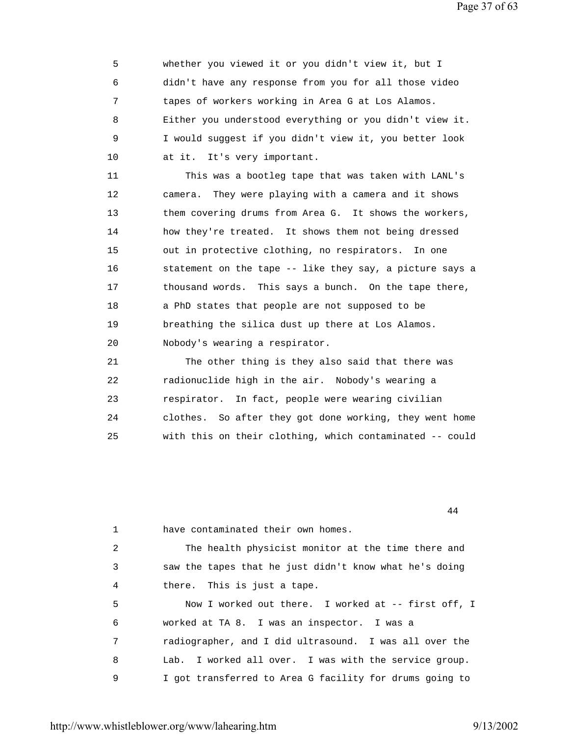Page 37 of 63

 5 whether you viewed it or you didn't view it, but I 6 didn't have any response from you for all those video 7 tapes of workers working in Area G at Los Alamos. 8 Either you understood everything or you didn't view it. 9 I would suggest if you didn't view it, you better look 10 at it. It's very important.

 11 This was a bootleg tape that was taken with LANL's 12 camera. They were playing with a camera and it shows 13 them covering drums from Area G. It shows the workers, 14 how they're treated. It shows them not being dressed 15 out in protective clothing, no respirators. In one 16 statement on the tape -- like they say, a picture says a 17 thousand words. This says a bunch. On the tape there, 18 a PhD states that people are not supposed to be 19 breathing the silica dust up there at Los Alamos. 20 Nobody's wearing a respirator.

 21 The other thing is they also said that there was 22 radionuclide high in the air. Nobody's wearing a 23 respirator. In fact, people were wearing civilian 24 clothes. So after they got done working, they went home 25 with this on their clothing, which contaminated -- could

 1 have contaminated their own homes. 2 The health physicist monitor at the time there and 3 saw the tapes that he just didn't know what he's doing 4 there. This is just a tape. 5 Now I worked out there. I worked at -- first off, I 6 worked at TA 8. I was an inspector. I was a 7 radiographer, and I did ultrasound. I was all over the 8 Lab. I worked all over. I was with the service group. 9 I got transferred to Area G facility for drums going to

44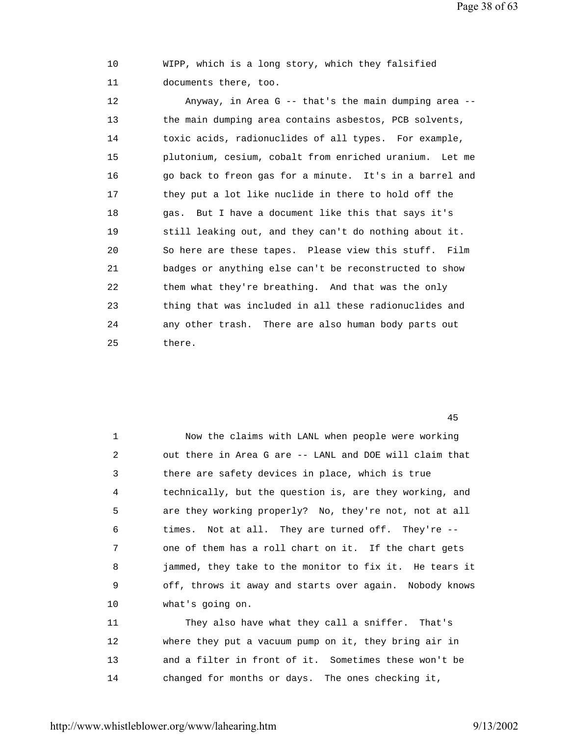Page 38 of 63

 10 WIPP, which is a long story, which they falsified 11 documents there, too.

 12 Anyway, in Area G -- that's the main dumping area -- 13 the main dumping area contains asbestos, PCB solvents, 14 toxic acids, radionuclides of all types. For example, 15 plutonium, cesium, cobalt from enriched uranium. Let me 16 go back to freon gas for a minute. It's in a barrel and 17 they put a lot like nuclide in there to hold off the 18 gas. But I have a document like this that says it's 19 still leaking out, and they can't do nothing about it. 20 So here are these tapes. Please view this stuff. Film 21 badges or anything else can't be reconstructed to show 22 them what they're breathing. And that was the only 23 thing that was included in all these radionuclides and 24 any other trash. There are also human body parts out 25 there.

45

| $\mathbf 1$ | Now the claims with LANL when people were working       |
|-------------|---------------------------------------------------------|
| 2           | out there in Area G are -- LANL and DOE will claim that |
| 3           | there are safety devices in place, which is true        |
| 4           | technically, but the question is, are they working, and |
| 5           | are they working properly? No, they're not, not at all  |
| 6           | times. Not at all. They are turned off. They're --      |
| 7           | one of them has a roll chart on it. If the chart gets   |
| 8           | jammed, they take to the monitor to fix it. He tears it |
| 9           | off, throws it away and starts over again. Nobody knows |
| 10          | what's going on.                                        |
| 11          | They also have what they call a sniffer. That's         |
| 12          | where they put a vacuum pump on it, they bring air in   |
| 13          | and a filter in front of it. Sometimes these won't be   |
|             |                                                         |

14 changed for months or days. The ones checking it,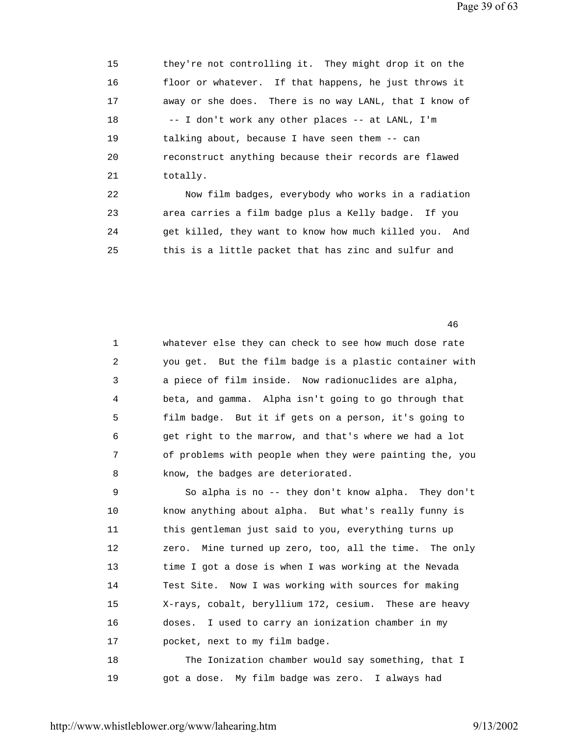15 they're not controlling it. They might drop it on the 16 floor or whatever. If that happens, he just throws it 17 away or she does. There is no way LANL, that I know of 18 -- I don't work any other places -- at LANL, I'm 19 talking about, because I have seen them -- can 20 reconstruct anything because their records are flawed 21 totally. 22 Now film badges, everybody who works in a radiation

 23 area carries a film badge plus a Kelly badge. If you 24 get killed, they want to know how much killed you. And 25 this is a little packet that has zinc and sulfur and

46

|   | whatever else they can check to see how much dose rate   |
|---|----------------------------------------------------------|
| 2 | you get. But the film badge is a plastic container with  |
| 3 | a piece of film inside. Now radionuclides are alpha,     |
| 4 | beta, and gamma. Alpha isn't going to go through that    |
| 5 | film badge. But it if gets on a person, it's going to    |
| 6 | get right to the marrow, and that's where we had a lot   |
| 7 | of problems with people when they were painting the, you |
| 8 | know, the badges are deteriorated.                       |

 9 So alpha is no -- they don't know alpha. They don't 10 know anything about alpha. But what's really funny is 11 this gentleman just said to you, everything turns up 12 zero. Mine turned up zero, too, all the time. The only 13 time I got a dose is when I was working at the Nevada 14 Test Site. Now I was working with sources for making 15 X-rays, cobalt, beryllium 172, cesium. These are heavy 16 doses. I used to carry an ionization chamber in my 17 pocket, next to my film badge. 18 The Ionization chamber would say something, that I

19 got a dose. My film badge was zero. I always had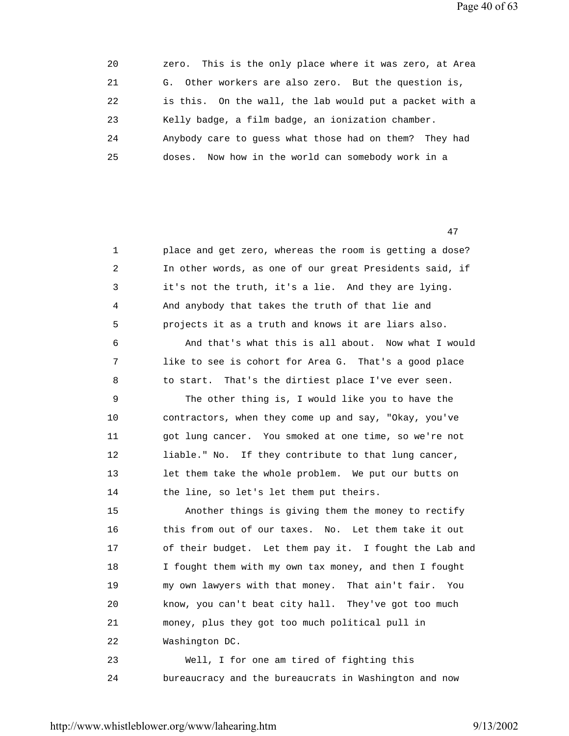Page 40 of 63

| 20 | zero. This is the only place where it was zero, at Area |
|----|---------------------------------------------------------|
| 21 | G. Other workers are also zero. But the question is,    |
| 22 | is this. On the wall, the lab would put a packet with a |
| 23 | Kelly badge, a film badge, an ionization chamber.       |
| 24 | Anybody care to quess what those had on them? They had  |
| 25 | doses. Now how in the world can somebody work in a      |

47

| $\mathbf 1$ | place and get zero, whereas the room is getting a dose? |
|-------------|---------------------------------------------------------|
| 2           | In other words, as one of our great Presidents said, if |
| 3           | it's not the truth, it's a lie. And they are lying.     |
| 4           | And anybody that takes the truth of that lie and        |
| 5           | projects it as a truth and knows it are liars also.     |
| 6           | And that's what this is all about. Now what I would     |
| 7           | like to see is cohort for Area G. That's a good place   |
| 8           | to start. That's the dirtiest place I've ever seen.     |
| 9           | The other thing is, I would like you to have the        |
| 10          | contractors, when they come up and say, "Okay, you've   |
| 11          | got lung cancer. You smoked at one time, so we're not   |
| 12          | liable." No. If they contribute to that lung cancer,    |
| 13          | let them take the whole problem. We put our butts on    |
| 14          | the line, so let's let them put theirs.                 |
| 15          | Another things is giving them the money to rectify      |
| 16          | this from out of our taxes. No. Let them take it out    |
| 17          | of their budget. Let them pay it. I fought the Lab and  |
| 18          | I fought them with my own tax money, and then I fought  |
| 19          | my own lawyers with that money. That ain't fair.<br>You |
| 20          | know, you can't beat city hall. They've got too much    |
| 21          | money, plus they got too much political pull in         |
| 22          | Washington DC.                                          |
| 23          | Well, I for one am tired of fighting this               |
| 24          | bureaucracy and the bureaucrats in Washington and now   |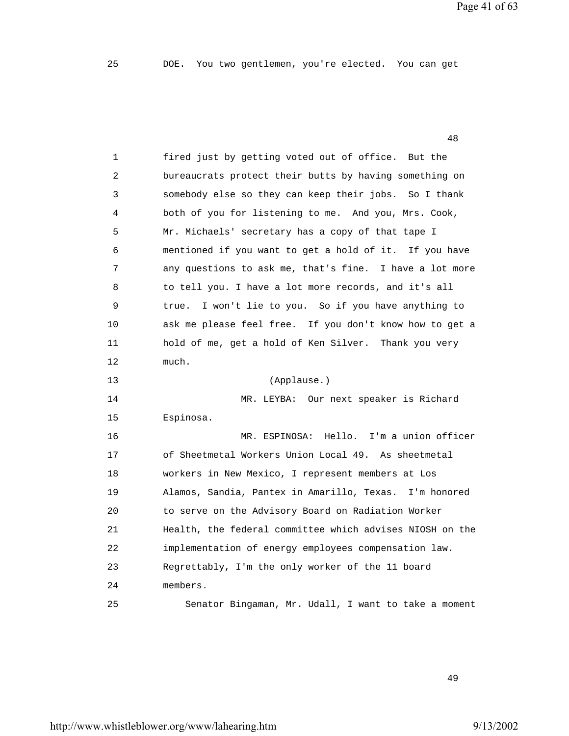Page 41 of 63

|                | 48                                                       |
|----------------|----------------------------------------------------------|
| 1              | fired just by getting voted out of office. But the       |
| $\overline{c}$ | bureaucrats protect their butts by having something on   |
| 3              | somebody else so they can keep their jobs. So I thank    |
| 4              | both of you for listening to me. And you, Mrs. Cook,     |
| 5              | Mr. Michaels' secretary has a copy of that tape I        |
| 6              | mentioned if you want to get a hold of it. If you have   |
| 7              | any questions to ask me, that's fine. I have a lot more  |
| 8              | to tell you. I have a lot more records, and it's all     |
| 9              | I won't lie to you. So if you have anything to<br>true.  |
| 10             | ask me please feel free. If you don't know how to get a  |
| 11             | hold of me, get a hold of Ken Silver. Thank you very     |
| 12             | much.                                                    |
| 13             | (Applause.)                                              |
| 14             | MR. LEYBA: Our next speaker is Richard                   |
| 15             | Espinosa.                                                |
| 16             | MR. ESPINOSA: Hello. I'm a union officer                 |
| 17             | of Sheetmetal Workers Union Local 49. As sheetmetal      |
| 18             | workers in New Mexico, I represent members at Los        |
| 19             | Alamos, Sandia, Pantex in Amarillo, Texas. I'm honored   |
| 20             | to serve on the Advisory Board on Radiation Worker       |
| 21             | Health, the federal committee which advises NIOSH on the |
| 22             | implementation of energy employees compensation law.     |
| 23             | Regrettably, I'm the only worker of the 11 board         |
| 24             | members.                                                 |
| 25             | Senator Bingaman, Mr. Udall, I want to take a moment     |

49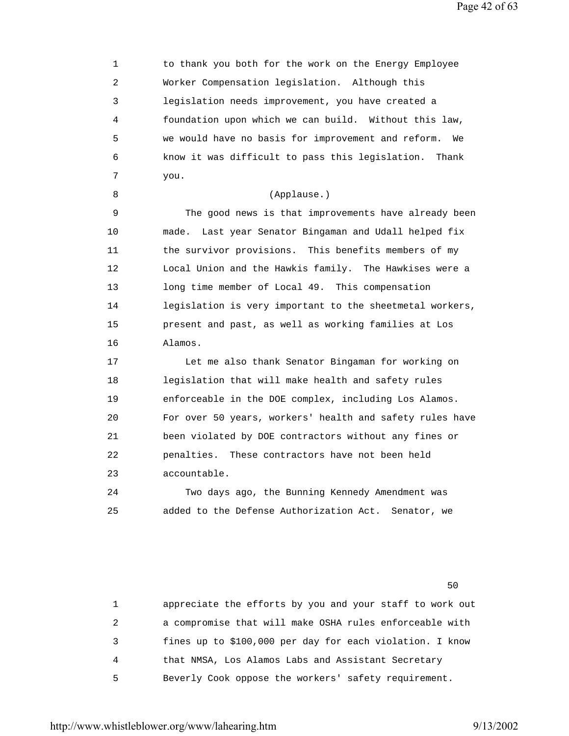Page 42 of 63

1 to thank you both for the work on the Energy Employee 2 Worker Compensation legislation. Although this 3 legislation needs improvement, you have created a 4 foundation upon which we can build. Without this law, 5 we would have no basis for improvement and reform. We 6 know it was difficult to pass this legislation. Thank 7 you. 8 (Applause.) 9 The good news is that improvements have already been 10 made. Last year Senator Bingaman and Udall helped fix 11 the survivor provisions. This benefits members of my 12 Local Union and the Hawkis family. The Hawkises were a 13 long time member of Local 49. This compensation 14 legislation is very important to the sheetmetal workers, 15 present and past, as well as working families at Los 16 Alamos. 17 Let me also thank Senator Bingaman for working on 18 legislation that will make health and safety rules 19 enforceable in the DOE complex, including Los Alamos. 20 For over 50 years, workers' health and safety rules have 21 been violated by DOE contractors without any fines or 22 penalties. These contractors have not been held 23 accountable. 24 Two days ago, the Bunning Kennedy Amendment was 25 added to the Defense Authorization Act. Senator, we  $50<sub>50</sub>$ 

> 1 appreciate the efforts by you and your staff to work out 2 a compromise that will make OSHA rules enforceable with 3 fines up to \$100,000 per day for each violation. I know 4 that NMSA, Los Alamos Labs and Assistant Secretary 5 Beverly Cook oppose the workers' safety requirement.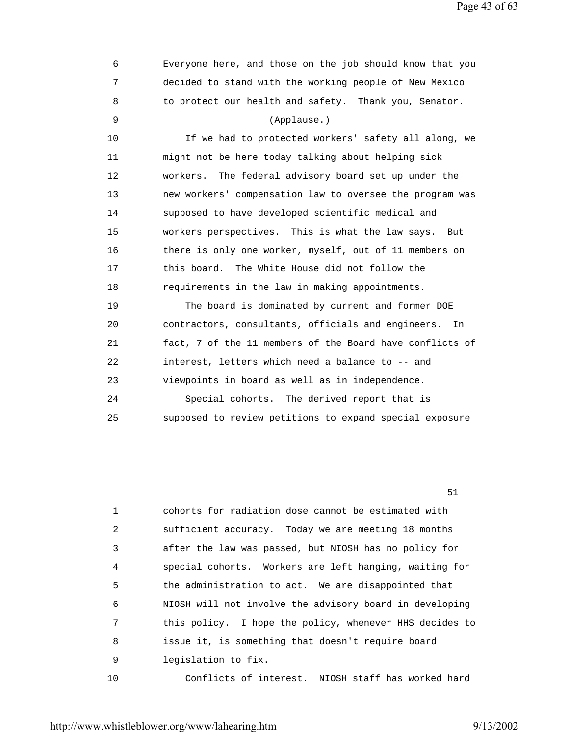Page 43 of 63

 7 decided to stand with the working people of New Mexico 8 to protect our health and safety. Thank you, Senator. 9 (Applause.) 10 If we had to protected workers' safety all along, we 11 might not be here today talking about helping sick 12 workers. The federal advisory board set up under the 13 new workers' compensation law to oversee the program was 14 supposed to have developed scientific medical and 15 workers perspectives. This is what the law says. But 16 there is only one worker, myself, out of 11 members on 17 this board. The White House did not follow the 18 requirements in the law in making appointments. 19 The board is dominated by current and former DOE 20 contractors, consultants, officials and engineers. In 21 fact, 7 of the 11 members of the Board have conflicts of 22 interest, letters which need a balance to -- and 23 viewpoints in board as well as in independence. 24 Special cohorts. The derived report that is 25 supposed to review petitions to expand special exposure

6 Everyone here, and those on the job should know that you

 $51$ 

|                | cohorts for radiation dose cannot be estimated with     |
|----------------|---------------------------------------------------------|
| $\overline{2}$ | sufficient accuracy. Today we are meeting 18 months     |
| 3              | after the law was passed, but NIOSH has no policy for   |
| 4              | special cohorts. Workers are left hanging, waiting for  |
| 5              | the administration to act. We are disappointed that     |
| 6              | NIOSH will not involve the advisory board in developing |
| 7              | this policy. I hope the policy, whenever HHS decides to |
| 8              | issue it, is something that doesn't require board       |
| 9              | legislation to fix.                                     |
| 10             | Conflicts of interest. NIOSH staff has worked hard      |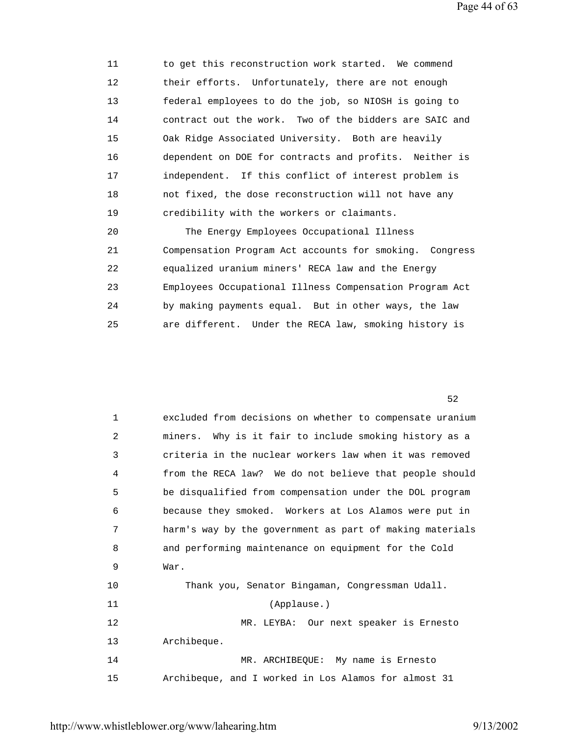11 to get this reconstruction work started. We commend 12 their efforts. Unfortunately, there are not enough 13 federal employees to do the job, so NIOSH is going to 14 contract out the work. Two of the bidders are SAIC and 15 Oak Ridge Associated University. Both are heavily 16 dependent on DOE for contracts and profits. Neither is 17 independent. If this conflict of interest problem is 18 not fixed, the dose reconstruction will not have any 19 credibility with the workers or claimants. 20 The Energy Employees Occupational Illness 21 Compensation Program Act accounts for smoking. Congress 22 equalized uranium miners' RECA law and the Energy

 23 Employees Occupational Illness Compensation Program Act 24 by making payments equal. But in other ways, the law 25 are different. Under the RECA law, smoking history is

 $52$ 

| $\mathbf 1$ | excluded from decisions on whether to compensate uranium |
|-------------|----------------------------------------------------------|
| 2           | miners. Why is it fair to include smoking history as a   |
| 3           | criteria in the nuclear workers law when it was removed  |
| 4           | from the RECA law? We do not believe that people should  |
| 5           | be disqualified from compensation under the DOL program  |
| 6           | because they smoked. Workers at Los Alamos were put in   |
| 7           | harm's way by the government as part of making materials |
| 8           | and performing maintenance on equipment for the Cold     |
| 9           | War.                                                     |
| 10          | Thank you, Senator Bingaman, Congressman Udall.          |
| 11          | (Applause.)                                              |
| 12          | MR. LEYBA: Our next speaker is Ernesto                   |
| 13          | Archibeque.                                              |
| 14          | MR. ARCHIBEQUE: My name is Ernesto                       |
| 15          | Archibeque, and I worked in Los Alamos for almost 31     |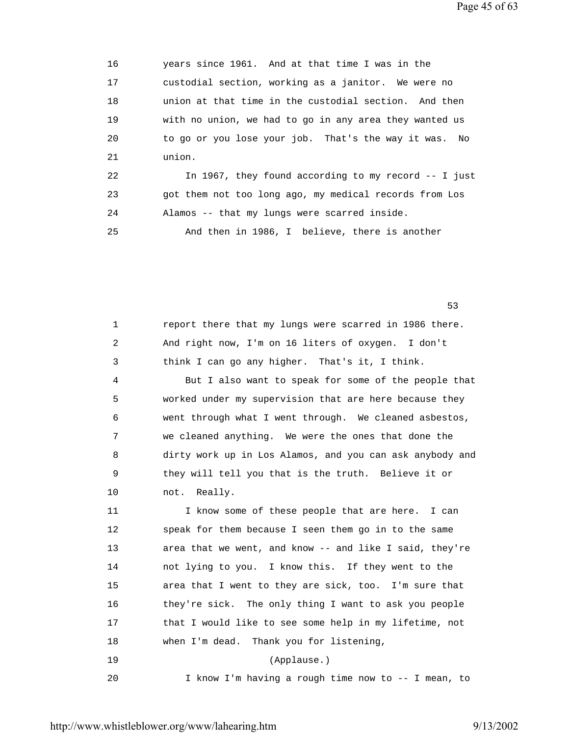Page 45 of 63

 16 years since 1961. And at that time I was in the 17 custodial section, working as a janitor. We were no 18 union at that time in the custodial section. And then 19 with no union, we had to go in any area they wanted us 20 to go or you lose your job. That's the way it was. No 21 union. 22 In 1967, they found according to my record -- I just

 23 got them not too long ago, my medical records from Los 24 Alamos -- that my lungs were scarred inside.

25 And then in 1986, I believe, there is another

 $53$ 

| 1  | report there that my lungs were scarred in 1986 there.   |
|----|----------------------------------------------------------|
| 2  | And right now, I'm on 16 liters of oxygen. I don't       |
| 3  | think I can go any higher. That's it, I think.           |
| 4  | But I also want to speak for some of the people that     |
| 5  | worked under my supervision that are here because they   |
| 6  | went through what I went through. We cleaned asbestos,   |
| 7  | we cleaned anything. We were the ones that done the      |
| 8  | dirty work up in Los Alamos, and you can ask anybody and |
| 9  | they will tell you that is the truth. Believe it or      |
| 10 | not. Really.                                             |
| 11 | I know some of these people that are here. I can         |
| 12 | speak for them because I seen them go in to the same     |
| 13 | area that we went, and know -- and like I said, they're  |
| 14 | not lying to you. I know this. If they went to the       |
| 15 | area that I went to they are sick, too. I'm sure that    |
| 16 | they're sick. The only thing I want to ask you people    |
| 17 | that I would like to see some help in my lifetime, not   |
| 18 | when I'm dead. Thank you for listening,                  |
| 19 | (Applause.)                                              |
| 20 | I know I'm having a rough time now to -- I mean, to      |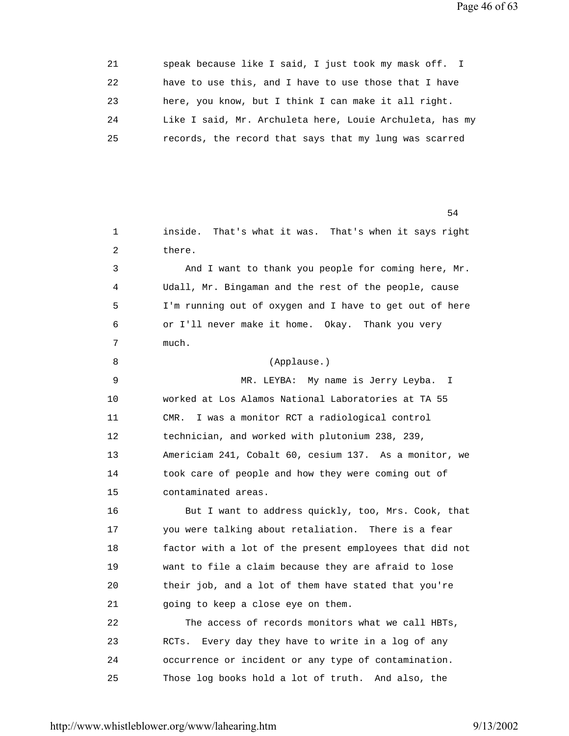| 21 | speak because like I said, I just took my mask off. I    |
|----|----------------------------------------------------------|
| 22 | have to use this, and I have to use those that I have    |
| 23 | here, you know, but I think I can make it all right.     |
| 24 | Like I said, Mr. Archuleta here, Louie Archuleta, has my |
| 25 | records, the record that says that my lung was scarred   |

 $54$  1 inside. That's what it was. That's when it says right 2 there. 3 And I want to thank you people for coming here, Mr. 4 Udall, Mr. Bingaman and the rest of the people, cause 5 I'm running out of oxygen and I have to get out of here 6 or I'll never make it home. Okay. Thank you very 7 much. 8 (Applause.) 9 MR. LEYBA: My name is Jerry Leyba. I 10 worked at Los Alamos National Laboratories at TA 55 11 CMR. I was a monitor RCT a radiological control 12 technician, and worked with plutonium 238, 239, 13 Americiam 241, Cobalt 60, cesium 137. As a monitor, we 14 took care of people and how they were coming out of 15 contaminated areas. 16 But I want to address quickly, too, Mrs. Cook, that 17 you were talking about retaliation. There is a fear 18 factor with a lot of the present employees that did not 19 want to file a claim because they are afraid to lose 20 their job, and a lot of them have stated that you're 21 going to keep a close eye on them. 22 The access of records monitors what we call HBTs, 23 RCTs. Every day they have to write in a log of any 24 occurrence or incident or any type of contamination. 25 Those log books hold a lot of truth. And also, the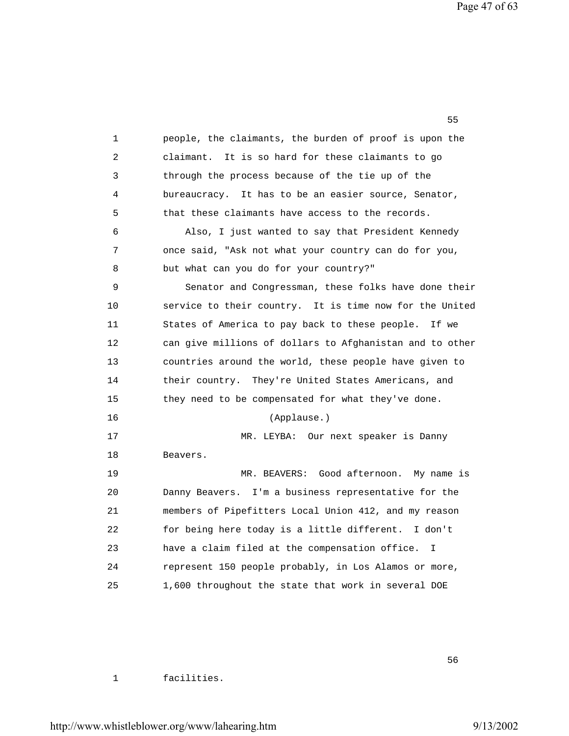Page 47 of 63

 1 people, the claimants, the burden of proof is upon the 2 claimant. It is so hard for these claimants to go 3 through the process because of the tie up of the 4 bureaucracy. It has to be an easier source, Senator, 5 that these claimants have access to the records. 6 Also, I just wanted to say that President Kennedy 7 once said, "Ask not what your country can do for you, 8 but what can you do for your country?" 9 Senator and Congressman, these folks have done their 10 service to their country. It is time now for the United 11 States of America to pay back to these people. If we 12 can give millions of dollars to Afghanistan and to other 13 countries around the world, these people have given to 14 their country. They're United States Americans, and 15 they need to be compensated for what they've done. 16 (Applause.) 17 MR. LEYBA: Our next speaker is Danny 18 Beavers. 19 MR. BEAVERS: Good afternoon. My name is 20 Danny Beavers. I'm a business representative for the 21 members of Pipefitters Local Union 412, and my reason 22 for being here today is a little different. I don't 23 have a claim filed at the compensation office. I 24 represent 150 people probably, in Los Alamos or more, 25 1,600 throughout the state that work in several DOE

 $55$ 

1 facilities.

 $56$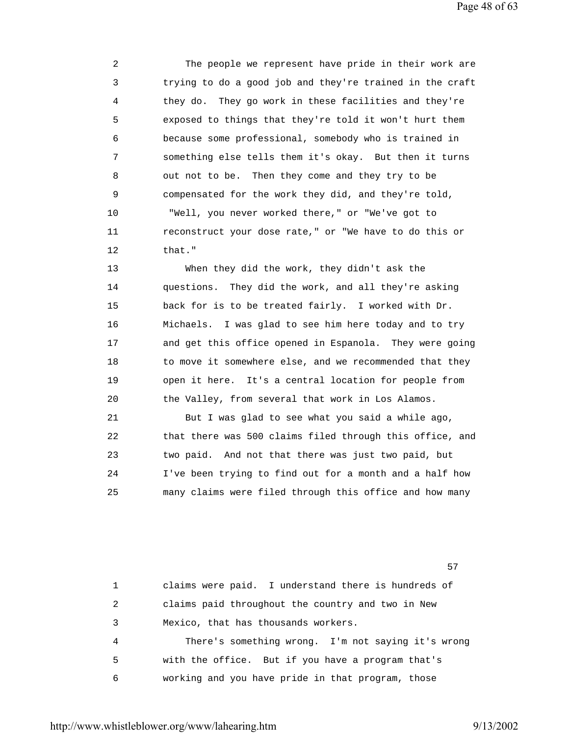2 The people we represent have pride in their work are 3 trying to do a good job and they're trained in the craft 4 they do. They go work in these facilities and they're 5 exposed to things that they're told it won't hurt them 6 because some professional, somebody who is trained in 7 something else tells them it's okay. But then it turns 8 out not to be. Then they come and they try to be 9 compensated for the work they did, and they're told, 10 "Well, you never worked there," or "We've got to 11 reconstruct your dose rate," or "We have to do this or 12 that."

 13 When they did the work, they didn't ask the 14 questions. They did the work, and all they're asking 15 back for is to be treated fairly. I worked with Dr. 16 Michaels. I was glad to see him here today and to try 17 and get this office opened in Espanola. They were going 18 to move it somewhere else, and we recommended that they 19 open it here. It's a central location for people from 20 the Valley, from several that work in Los Alamos.

 21 But I was glad to see what you said a while ago, 22 that there was 500 claims filed through this office, and 23 two paid. And not that there was just two paid, but 24 I've been trying to find out for a month and a half how 25 many claims were filed through this office and how many

 $57$ 

 1 claims were paid. I understand there is hundreds of 2 claims paid throughout the country and two in New 3 Mexico, that has thousands workers. 4 There's something wrong. I'm not saying it's wrong 5 with the office. But if you have a program that's 6 working and you have pride in that program, those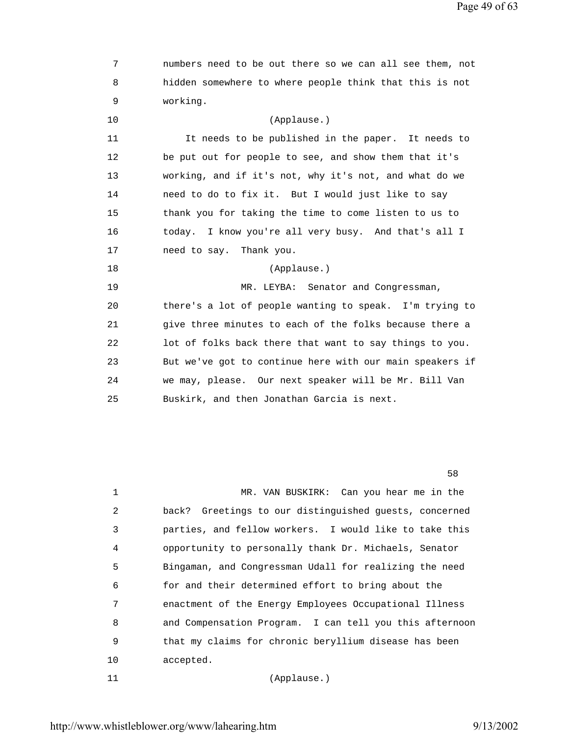| 7  | numbers need to be out there so we can all see them, not  |
|----|-----------------------------------------------------------|
| 8  | hidden somewhere to where people think that this is not   |
| 9  | working.                                                  |
| 10 | (Applause.)                                               |
| 11 | It needs to be published in the paper. It needs to        |
| 12 | be put out for people to see, and show them that it's     |
| 13 | working, and if it's not, why it's not, and what do we    |
| 14 | need to do to fix it. But I would just like to say        |
| 15 | thank you for taking the time to come listen to us to     |
| 16 | I know you're all very busy. And that's all I<br>today.   |
| 17 | need to say.<br>Thank you.                                |
| 18 | (Applause.)                                               |
| 19 | MR. LEYBA:<br>Senator and Congressman,                    |
| 20 | there's a lot of people wanting to speak. I'm trying to   |
| 21 | give three minutes to each of the folks because there a   |
| 22 | lot of folks back there that want to say things to you.   |
| 23 | But we've got to continue here with our main speakers if  |
| 24 | we may, please. Our next speaker will be Mr. Bill Van     |
| 25 | Buskirk, and then Jonathan Garcia is next.                |
|    |                                                           |
|    |                                                           |
|    |                                                           |
|    | 58                                                        |
| 1  | MR. VAN BUSKIRK: Can you hear me in the                   |
| 2  | Greetings to our distinguished guests, concerned<br>back? |
| 3  | parties, and fellow workers. I would like to take this    |
| 4  | opportunity to personally thank Dr. Michaels, Senator     |

11 (Applause.)

5 Bingaman, and Congressman Udall for realizing the need

7 enactment of the Energy Employees Occupational Illness

9 that my claims for chronic beryllium disease has been

8 and Compensation Program. I can tell you this afternoon

6 for and their determined effort to bring about the

10 accepted.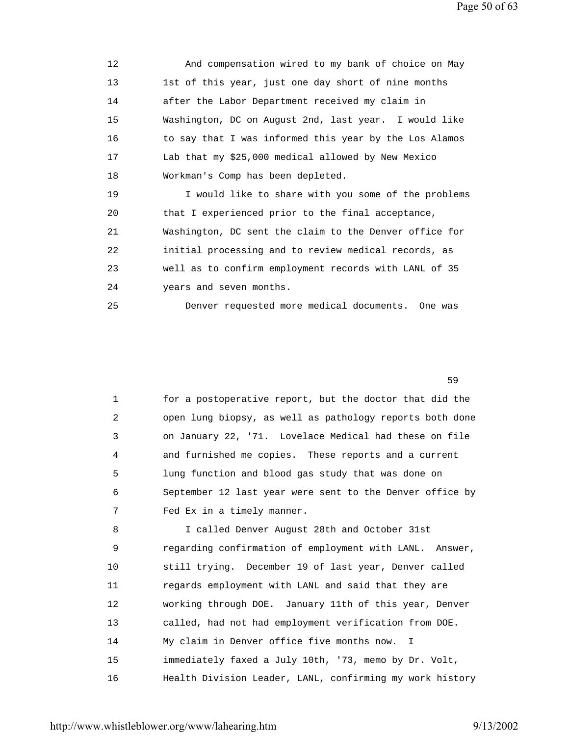12 And compensation wired to my bank of choice on May 13 1st of this year, just one day short of nine months 14 after the Labor Department received my claim in 15 Washington, DC on August 2nd, last year. I would like 16 to say that I was informed this year by the Los Alamos 17 Lab that my \$25,000 medical allowed by New Mexico 18 Workman's Comp has been depleted. 19 I would like to share with you some of the problems 20 that I experienced prior to the final acceptance, 21 Washington, DC sent the claim to the Denver office for 22 initial processing and to review medical records, as 23 well as to confirm employment records with LANL of 35 24 years and seven months.

25 Denver requested more medical documents. One was

 $59$ 

 1 for a postoperative report, but the doctor that did the 2 open lung biopsy, as well as pathology reports both done 3 on January 22, '71. Lovelace Medical had these on file 4 and furnished me copies. These reports and a current 5 lung function and blood gas study that was done on 6 September 12 last year were sent to the Denver office by 7 Fed Ex in a timely manner.

 8 I called Denver August 28th and October 31st 9 regarding confirmation of employment with LANL. Answer, 10 still trying. December 19 of last year, Denver called 11 regards employment with LANL and said that they are 12 working through DOE. January 11th of this year, Denver 13 called, had not had employment verification from DOE. 14 My claim in Denver office five months now. I 15 immediately faxed a July 10th, '73, memo by Dr. Volt, 16 Health Division Leader, LANL, confirming my work history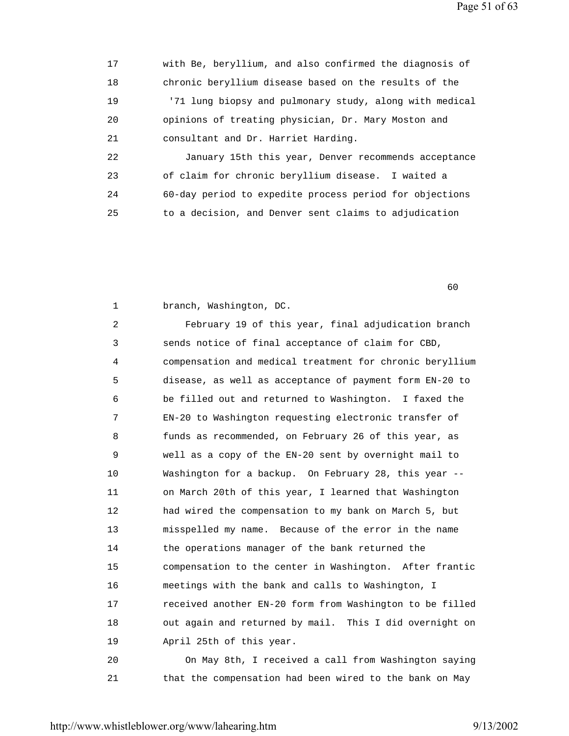17 with Be, beryllium, and also confirmed the diagnosis of 18 chronic beryllium disease based on the results of the 19 '71 lung biopsy and pulmonary study, along with medical 20 opinions of treating physician, Dr. Mary Moston and 21 consultant and Dr. Harriet Harding. 22 January 15th this year, Denver recommends acceptance

 23 of claim for chronic beryllium disease. I waited a 24 60-day period to expedite process period for objections 25 to a decision, and Denver sent claims to adjudication

 $\sim$  60

1 branch, Washington, DC.

 2 February 19 of this year, final adjudication branch 3 sends notice of final acceptance of claim for CBD, 4 compensation and medical treatment for chronic beryllium 5 disease, as well as acceptance of payment form EN-20 to 6 be filled out and returned to Washington. I faxed the 7 EN-20 to Washington requesting electronic transfer of 8 funds as recommended, on February 26 of this year, as 9 well as a copy of the EN-20 sent by overnight mail to 10 Washington for a backup. On February 28, this year -- 11 on March 20th of this year, I learned that Washington 12 had wired the compensation to my bank on March 5, but 13 misspelled my name. Because of the error in the name 14 the operations manager of the bank returned the 15 compensation to the center in Washington. After frantic 16 meetings with the bank and calls to Washington, I 17 received another EN-20 form from Washington to be filled 18 out again and returned by mail. This I did overnight on 19 April 25th of this year. 20 On May 8th, I received a call from Washington saying

21 that the compensation had been wired to the bank on May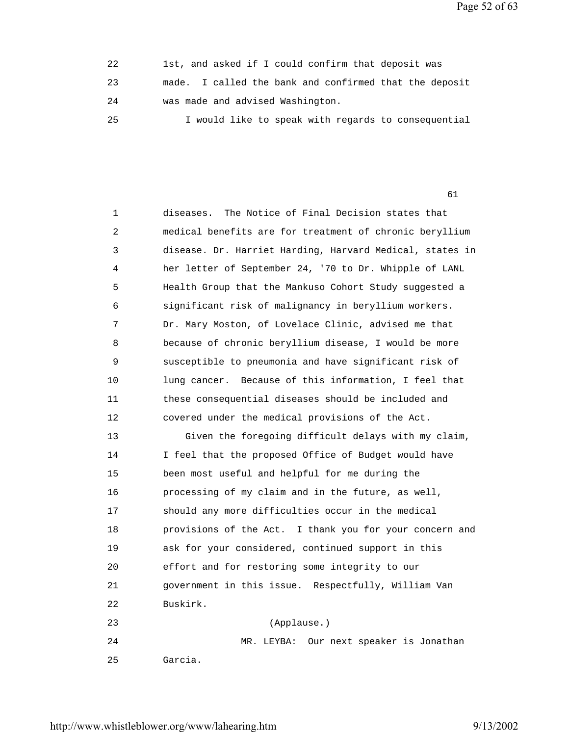Page 52 of 63

| 22  | 1st, and asked if I could confirm that deposit was     |
|-----|--------------------------------------------------------|
| 23  | made. I called the bank and confirmed that the deposit |
| 2.4 | was made and advised Washington.                       |
| 25  | I would like to speak with regards to consequential    |

61

| $\mathbf{1}$ | The Notice of Final Decision states that<br>diseases.    |
|--------------|----------------------------------------------------------|
| 2            | medical benefits are for treatment of chronic beryllium  |
| 3            | disease. Dr. Harriet Harding, Harvard Medical, states in |
| 4            | her letter of September 24, '70 to Dr. Whipple of LANL   |
| 5            | Health Group that the Mankuso Cohort Study suggested a   |
| 6            | significant risk of malignancy in beryllium workers.     |
| 7            | Dr. Mary Moston, of Lovelace Clinic, advised me that     |
| 8            | because of chronic beryllium disease, I would be more    |
| 9            | susceptible to pneumonia and have significant risk of    |
| 10           | lung cancer. Because of this information, I feel that    |
| 11           | these consequential diseases should be included and      |
| 12           | covered under the medical provisions of the Act.         |
| 13           | Given the foregoing difficult delays with my claim,      |
| 14           | I feel that the proposed Office of Budget would have     |
| 15           | been most useful and helpful for me during the           |
| 16           | processing of my claim and in the future, as well,       |
| 17           | should any more difficulties occur in the medical        |
| 18           | provisions of the Act. I thank you for your concern and  |
| 19           | ask for your considered, continued support in this       |
| 20           | effort and for restoring some integrity to our           |
| 21           | government in this issue. Respectfully, William Van      |
| 22           | Buskirk.                                                 |
| 23           | (Applause.)                                              |
| 24           | MR. LEYBA: Our next speaker is Jonathan                  |
| 25           | Garcia.                                                  |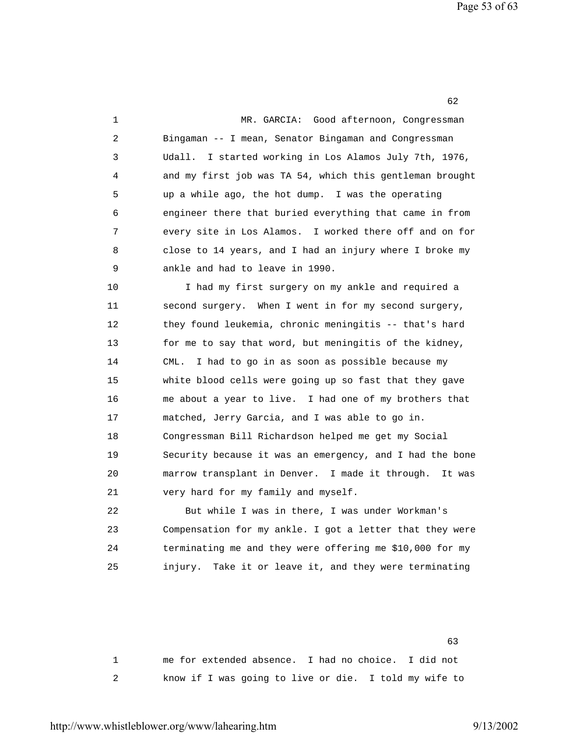| 1              | Good afternoon, Congressman<br>MR. GARCIA:                |
|----------------|-----------------------------------------------------------|
| $\overline{a}$ | Bingaman -- I mean, Senator Bingaman and Congressman      |
| 3              | I started working in Los Alamos July 7th, 1976,<br>Udall. |
| 4              | and my first job was TA 54, which this gentleman brought  |
| 5              | up a while ago, the hot dump. I was the operating         |
| 6              | engineer there that buried everything that came in from   |
| 7              | every site in Los Alamos. I worked there off and on for   |
| 8              | close to 14 years, and I had an injury where I broke my   |
| 9              | ankle and had to leave in 1990.                           |
| 10             | I had my first surgery on my ankle and required a         |
| 11             | second surgery. When I went in for my second surgery,     |
| 12             | they found leukemia, chronic meningitis -- that's hard    |
| 13             | for me to say that word, but meningitis of the kidney,    |
| 14             | I had to go in as soon as possible because my<br>CML.     |
| 15             | white blood cells were going up so fast that they gave    |
| 16             | me about a year to live. I had one of my brothers that    |
| 17             | matched, Jerry Garcia, and I was able to go in.           |
| 18             | Congressman Bill Richardson helped me get my Social       |
| 19             | Security because it was an emergency, and I had the bone  |
| 20             | marrow transplant in Denver. I made it through.<br>It was |
| 21             | very hard for my family and myself.                       |
| 22             | But while I was in there, I was under Workman's           |
| 23             | Compensation for my ankle. I got a letter that they were  |
| 24             | terminating me and they were offering me \$10,000 for my  |

 $\sim$  63 1 me for extended absence. I had no choice. I did not 2 know if I was going to live or die. I told my wife to

25 injury. Take it or leave it, and they were terminating

http://www.whistleblower.org/www/lahearing.htm 9/13/2002

 $\sim$  62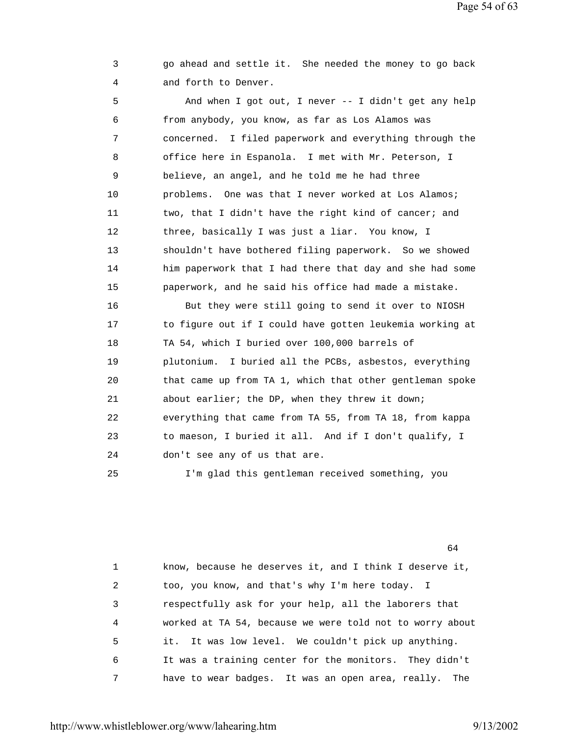Page 54 of 63

 3 go ahead and settle it. She needed the money to go back 4 and forth to Denver.

 5 And when I got out, I never -- I didn't get any help 6 from anybody, you know, as far as Los Alamos was 7 concerned. I filed paperwork and everything through the 8 office here in Espanola. I met with Mr. Peterson, I 9 believe, an angel, and he told me he had three 10 problems. One was that I never worked at Los Alamos; 11 two, that I didn't have the right kind of cancer; and 12 three, basically I was just a liar. You know, I 13 shouldn't have bothered filing paperwork. So we showed 14 him paperwork that I had there that day and she had some 15 paperwork, and he said his office had made a mistake. 16 But they were still going to send it over to NIOSH 17 to figure out if I could have gotten leukemia working at 18 TA 54, which I buried over 100,000 barrels of 19 plutonium. I buried all the PCBs, asbestos, everything 20 that came up from TA 1, which that other gentleman spoke 21 about earlier; the DP, when they threw it down; 22 everything that came from TA 55, from TA 18, from kappa 23 to maeson, I buried it all. And if I don't qualify, I 24 don't see any of us that are. 25 I'm glad this gentleman received something, you

 $\sim$  64

 1 know, because he deserves it, and I think I deserve it, 2 too, you know, and that's why I'm here today. I 3 respectfully ask for your help, all the laborers that 4 worked at TA 54, because we were told not to worry about 5 it. It was low level. We couldn't pick up anything. 6 It was a training center for the monitors. They didn't 7 have to wear badges. It was an open area, really. The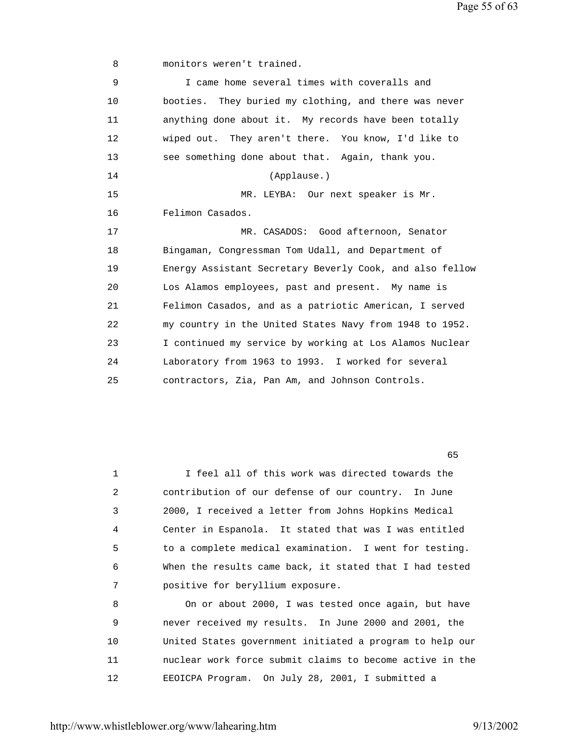Page 55 of 63

8 monitors weren't trained.

| 9  | I came home several times with coveralls and             |
|----|----------------------------------------------------------|
| 10 | booties. They buried my clothing, and there was never    |
| 11 | anything done about it. My records have been totally     |
| 12 | wiped out. They aren't there. You know, I'd like to      |
| 13 | see something done about that. Again, thank you.         |
| 14 | (Applause.)                                              |
| 15 | MR. LEYBA: Our next speaker is Mr.                       |
| 16 | Felimon Casados.                                         |
| 17 | MR. CASADOS: Good afternoon, Senator                     |
| 18 | Bingaman, Congressman Tom Udall, and Department of       |
| 19 | Energy Assistant Secretary Beverly Cook, and also fellow |
| 20 | Los Alamos employees, past and present. My name is       |
| 21 | Felimon Casados, and as a patriotic American, I served   |
| 22 | my country in the United States Navy from 1948 to 1952.  |
| 23 | I continued my service by working at Los Alamos Nuclear  |
| 24 | Laboratory from 1963 to 1993. I worked for several       |
| 25 | contractors, Zia, Pan Am, and Johnson Controls.          |

 $\sim$  65

 1 I feel all of this work was directed towards the 2 contribution of our defense of our country. In June 3 2000, I received a letter from Johns Hopkins Medical 4 Center in Espanola. It stated that was I was entitled 5 to a complete medical examination. I went for testing. 6 When the results came back, it stated that I had tested 7 positive for beryllium exposure. 8 On or about 2000, I was tested once again, but have 9 never received my results. In June 2000 and 2001, the

 10 United States government initiated a program to help our 11 nuclear work force submit claims to become active in the 12 EEOICPA Program. On July 28, 2001, I submitted a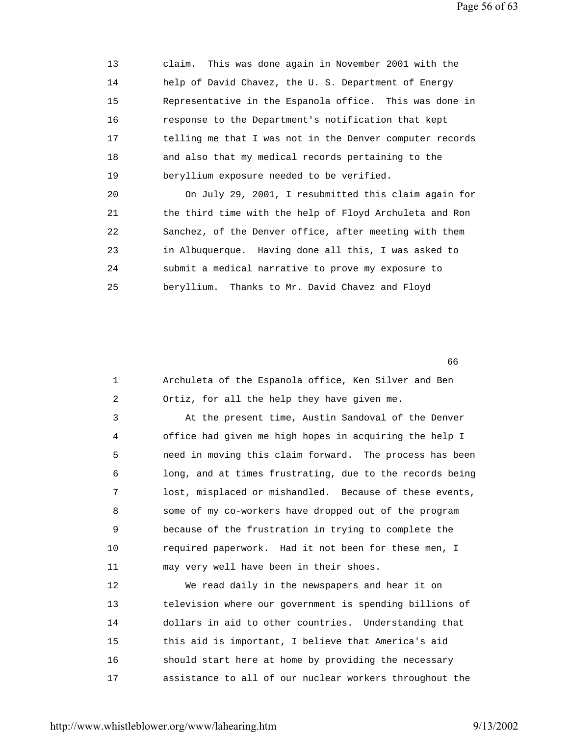13 claim. This was done again in November 2001 with the 14 help of David Chavez, the U. S. Department of Energy 15 Representative in the Espanola office. This was done in 16 response to the Department's notification that kept 17 telling me that I was not in the Denver computer records 18 and also that my medical records pertaining to the 19 beryllium exposure needed to be verified.

 20 On July 29, 2001, I resubmitted this claim again for 21 the third time with the help of Floyd Archuleta and Ron 22 Sanchez, of the Denver office, after meeting with them 23 in Albuquerque. Having done all this, I was asked to 24 submit a medical narrative to prove my exposure to 25 beryllium. Thanks to Mr. David Chavez and Floyd

 $\sim$  66

| $\mathbf 1$    | Archuleta of the Espanola office, Ken Silver and Ben     |
|----------------|----------------------------------------------------------|
| $\overline{a}$ | Ortiz, for all the help they have given me.              |
| 3              | At the present time, Austin Sandoval of the Denver       |
| 4              | office had given me high hopes in acquiring the help I   |
| 5              | need in moving this claim forward. The process has been  |
| 6              | long, and at times frustrating, due to the records being |
| 7              | lost, misplaced or mishandled. Because of these events,  |
| 8              | some of my co-workers have dropped out of the program    |
| 9              | because of the frustration in trying to complete the     |
| 10             | required paperwork. Had it not been for these men, I     |
| 11             | may very well have been in their shoes.                  |
| 12             | We read daily in the newspapers and hear it on           |
| 13             | television where our government is spending billions of  |
| 14             | dollars in aid to other countries. Understanding that    |
| 15             | this aid is important, I believe that America's aid      |
| 16             | should start here at home by providing the necessary     |
| 17             | assistance to all of our nuclear workers throughout the  |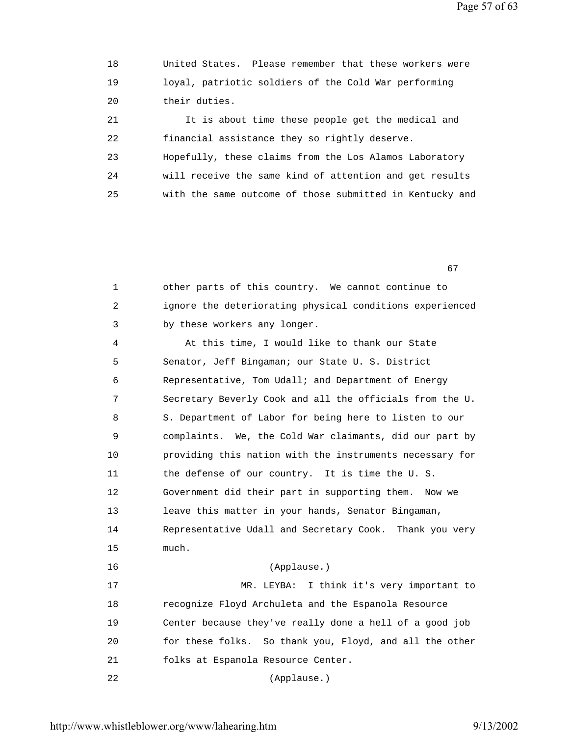Page 57 of 63

 18 United States. Please remember that these workers were 19 loyal, patriotic soldiers of the Cold War performing 20 their duties. 21 It is about time these people get the medical and 22 financial assistance they so rightly deserve. 23 Hopefully, these claims from the Los Alamos Laboratory 24 will receive the same kind of attention and get results 25 with the same outcome of those submitted in Kentucky and

 $\sim$  67

 1 other parts of this country. We cannot continue to 2 ignore the deteriorating physical conditions experienced 3 by these workers any longer.

 4 At this time, I would like to thank our State 5 Senator, Jeff Bingaman; our State U. S. District 6 Representative, Tom Udall; and Department of Energy 7 Secretary Beverly Cook and all the officials from the U. 8 S. Department of Labor for being here to listen to our 9 complaints. We, the Cold War claimants, did our part by 10 providing this nation with the instruments necessary for 11 the defense of our country. It is time the U. S. 12 Government did their part in supporting them. Now we 13 leave this matter in your hands, Senator Bingaman, 14 Representative Udall and Secretary Cook. Thank you very 15 much. 16 (Applause.) 17 MR. LEYBA: I think it's very important to 18 recognize Floyd Archuleta and the Espanola Resource 19 Center because they've really done a hell of a good job 20 for these folks. So thank you, Floyd, and all the other 21 folks at Espanola Resource Center. 22 (Applause.)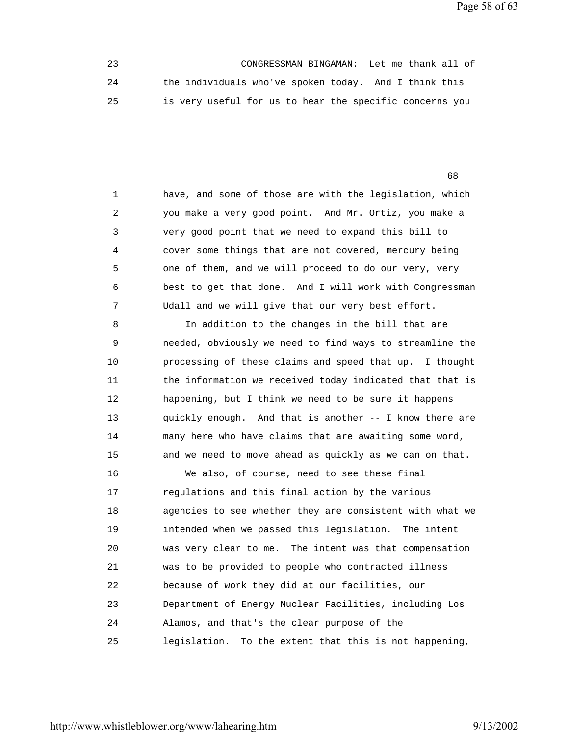Page 58 of 63

 23 CONGRESSMAN BINGAMAN: Let me thank all of 24 the individuals who've spoken today. And I think this 25 is very useful for us to hear the specific concerns you

 $\sim$  68

 1 have, and some of those are with the legislation, which 2 you make a very good point. And Mr. Ortiz, you make a 3 very good point that we need to expand this bill to 4 cover some things that are not covered, mercury being 5 one of them, and we will proceed to do our very, very 6 best to get that done. And I will work with Congressman 7 Udall and we will give that our very best effort.

 8 In addition to the changes in the bill that are 9 needed, obviously we need to find ways to streamline the 10 processing of these claims and speed that up. I thought 11 the information we received today indicated that that is 12 happening, but I think we need to be sure it happens 13 quickly enough. And that is another -- I know there are 14 many here who have claims that are awaiting some word, 15 and we need to move ahead as quickly as we can on that.

 16 We also, of course, need to see these final 17 regulations and this final action by the various 18 agencies to see whether they are consistent with what we 19 intended when we passed this legislation. The intent 20 was very clear to me. The intent was that compensation 21 was to be provided to people who contracted illness 22 because of work they did at our facilities, our 23 Department of Energy Nuclear Facilities, including Los 24 Alamos, and that's the clear purpose of the 25 legislation. To the extent that this is not happening,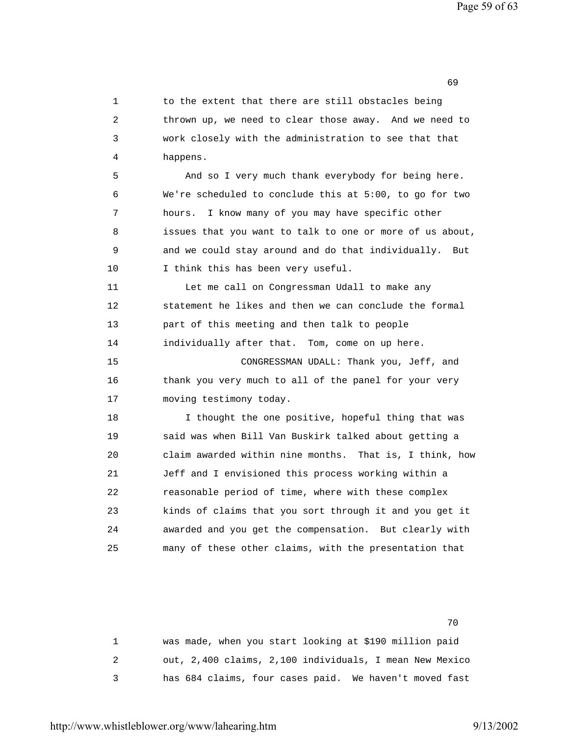1 to the extent that there are still obstacles being 2 thrown up, we need to clear those away. And we need to 3 work closely with the administration to see that that 4 happens. 5 And so I very much thank everybody for being here. 6 We're scheduled to conclude this at 5:00, to go for two 7 hours. I know many of you may have specific other 8 issues that you want to talk to one or more of us about, 9 and we could stay around and do that individually. But 10 I think this has been very useful. 11 Let me call on Congressman Udall to make any 12 statement he likes and then we can conclude the formal 13 part of this meeting and then talk to people 14 individually after that. Tom, come on up here. 15 CONGRESSMAN UDALL: Thank you, Jeff, and 16 thank you very much to all of the panel for your very 17 moving testimony today. 18 I thought the one positive, hopeful thing that was 19 said was when Bill Van Buskirk talked about getting a 20 claim awarded within nine months. That is, I think, how 21 Jeff and I envisioned this process working within a 22 reasonable period of time, where with these complex 23 kinds of claims that you sort through it and you get it 24 awarded and you get the compensation. But clearly with 25 many of these other claims, with the presentation that

 $\sim$  69

not a contract the contract of the contract of the contract of the contract of the contract of the contract of the contract of the contract of the contract of the contract of the contract of the contract of the contract of

 1 was made, when you start looking at \$190 million paid 2 out, 2,400 claims, 2,100 individuals, I mean New Mexico 3 has 684 claims, four cases paid. We haven't moved fast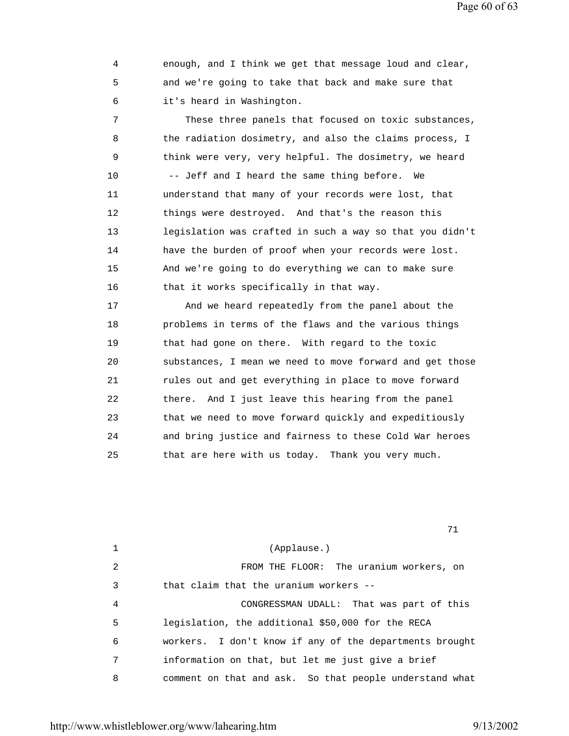Page 60 of 63

 4 enough, and I think we get that message loud and clear, 5 and we're going to take that back and make sure that 6 it's heard in Washington.

 7 These three panels that focused on toxic substances, 8 the radiation dosimetry, and also the claims process, I 9 think were very, very helpful. The dosimetry, we heard 10 -- Jeff and I heard the same thing before. We 11 understand that many of your records were lost, that 12 things were destroyed. And that's the reason this 13 legislation was crafted in such a way so that you didn't 14 have the burden of proof when your records were lost. 15 And we're going to do everything we can to make sure 16 that it works specifically in that way.

 17 And we heard repeatedly from the panel about the 18 problems in terms of the flaws and the various things 19 that had gone on there. With regard to the toxic 20 substances, I mean we need to move forward and get those 21 rules out and get everything in place to move forward 22 there. And I just leave this hearing from the panel 23 that we need to move forward quickly and expeditiously 24 and bring justice and fairness to these Cold War heroes 25 that are here with us today. Thank you very much.

71

|   | (Applause.)                                             |
|---|---------------------------------------------------------|
| 2 | FROM THE FLOOR: The uranium workers, on                 |
| 3 | that claim that the uranium workers $-$ -               |
| 4 | CONGRESSMAN UDALL: That was part of this                |
| 5 | legislation, the additional \$50,000 for the RECA       |
| 6 | workers. I don't know if any of the departments brought |
| 7 | information on that, but let me just give a brief       |
| 8 | comment on that and ask. So that people understand what |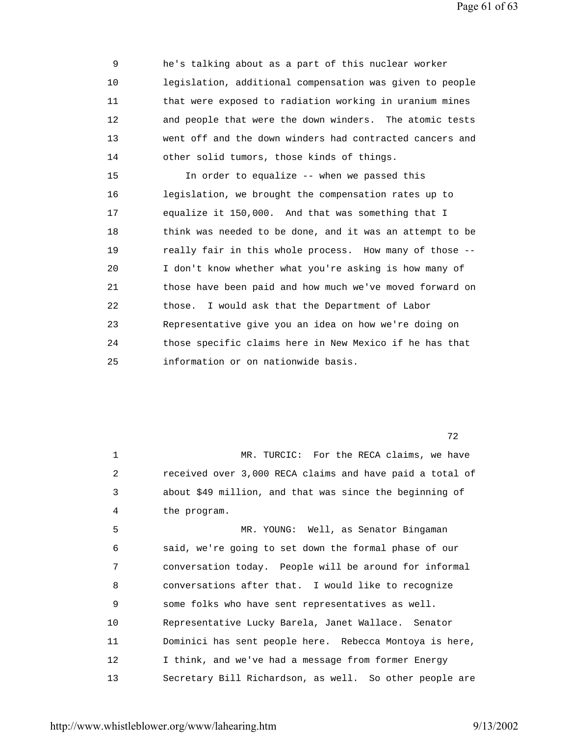Page 61 of 63

 9 he's talking about as a part of this nuclear worker 10 legislation, additional compensation was given to people 11 that were exposed to radiation working in uranium mines 12 and people that were the down winders. The atomic tests 13 went off and the down winders had contracted cancers and 14 other solid tumors, those kinds of things. 15 In order to equalize -- when we passed this 16 legislation, we brought the compensation rates up to 17 equalize it 150,000. And that was something that I 18 think was needed to be done, and it was an attempt to be 19 really fair in this whole process. How many of those -- 20 I don't know whether what you're asking is how many of 21 those have been paid and how much we've moved forward on 22 those. I would ask that the Department of Labor 23 Representative give you an idea on how we're doing on 24 those specific claims here in New Mexico if he has that 25 information or on nationwide basis.

 $72$ 

1 MR. TURCIC: For the RECA claims, we have 2 received over 3,000 RECA claims and have paid a total of 3 about \$49 million, and that was since the beginning of 4 the program. 5 MR. YOUNG: Well, as Senator Bingaman

 6 said, we're going to set down the formal phase of our 7 conversation today. People will be around for informal 8 conversations after that. I would like to recognize 9 some folks who have sent representatives as well. 10 Representative Lucky Barela, Janet Wallace. Senator 11 Dominici has sent people here. Rebecca Montoya is here, 12 I think, and we've had a message from former Energy 13 Secretary Bill Richardson, as well. So other people are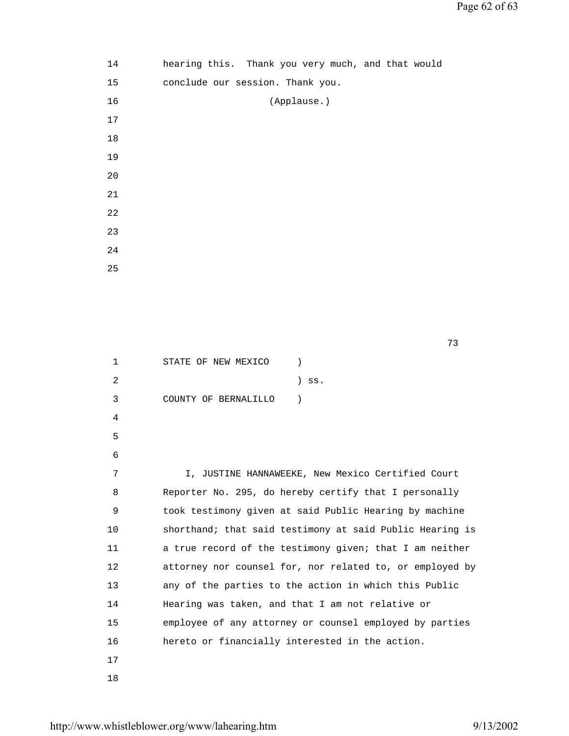| 14   | hearing this. Thank you very much, and that would |             |  |  |
|------|---------------------------------------------------|-------------|--|--|
| 15   | conclude our session. Thank you.                  |             |  |  |
| 16   |                                                   | (Applause.) |  |  |
| $17$ |                                                   |             |  |  |
| 18   |                                                   |             |  |  |
| 19   |                                                   |             |  |  |
| 20   |                                                   |             |  |  |
| 21   |                                                   |             |  |  |
| 22   |                                                   |             |  |  |
| 23   |                                                   |             |  |  |
| 24   |                                                   |             |  |  |
| 25   |                                                   |             |  |  |

73

1 STATE OF NEW MEXICO )  $2$  ) ss. 3 COUNTY OF BERNALILLO ) 4 5 6 7 I, JUSTINE HANNAWEEKE, New Mexico Certified Court 8 Reporter No. 295, do hereby certify that I personally 9 took testimony given at said Public Hearing by machine 10 shorthand; that said testimony at said Public Hearing is 11 a true record of the testimony given; that I am neither 12 attorney nor counsel for, nor related to, or employed by 13 any of the parties to the action in which this Public 14 Hearing was taken, and that I am not relative or 15 employee of any attorney or counsel employed by parties 16 hereto or financially interested in the action. 17 18